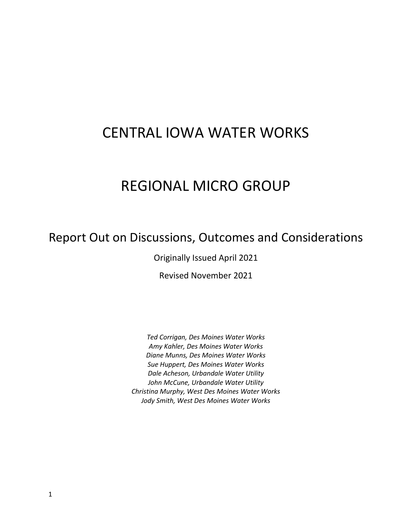# CENTRAL IOWA WATER WORKS

# REGIONAL MICRO GROUP

# Report Out on Discussions, Outcomes and Considerations

Originally Issued April 2021

Revised November 2021

*Ted Corrigan, Des Moines Water Works Amy Kahler, Des Moines Water Works Diane Munns, Des Moines Water Works Sue Huppert, Des Moines Water Works Dale Acheson, Urbandale Water Utility John McCune, Urbandale Water Utility Christina Murphy, West Des Moines Water Works Jody Smith, West Des Moines Water Works*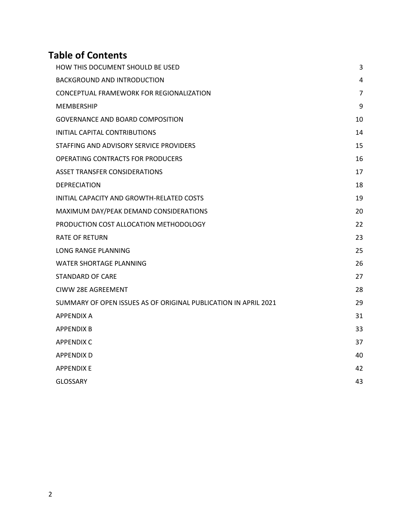# **Table of Contents**

| HOW THIS DOCUMENT SHOULD BE USED                                | 3              |
|-----------------------------------------------------------------|----------------|
| <b>BACKGROUND AND INTRODUCTION</b>                              | 4              |
| CONCEPTUAL FRAMEWORK FOR REGIONALIZATION                        | $\overline{7}$ |
| <b>MEMBERSHIP</b>                                               | 9              |
| <b>GOVERNANCE AND BOARD COMPOSITION</b>                         | 10             |
| <b>INITIAL CAPITAL CONTRIBUTIONS</b>                            | 14             |
| STAFFING AND ADVISORY SERVICE PROVIDERS                         | 15             |
| <b>OPERATING CONTRACTS FOR PRODUCERS</b>                        | 16             |
| <b>ASSET TRANSFER CONSIDERATIONS</b>                            | 17             |
| <b>DEPRECIATION</b>                                             | 18             |
| INITIAL CAPACITY AND GROWTH-RELATED COSTS                       | 19             |
| MAXIMUM DAY/PEAK DEMAND CONSIDERATIONS                          | 20             |
| PRODUCTION COST ALLOCATION METHODOLOGY                          | 22             |
| <b>RATE OF RETURN</b>                                           | 23             |
| <b>LONG RANGE PLANNING</b>                                      | 25             |
| <b>WATER SHORTAGE PLANNING</b>                                  | 26             |
| <b>STANDARD OF CARE</b>                                         | 27             |
| <b>CIWW 28E AGREEMENT</b>                                       | 28             |
| SUMMARY OF OPEN ISSUES AS OF ORIGINAL PUBLICATION IN APRIL 2021 | 29             |
| <b>APPENDIX A</b>                                               | 31             |
| <b>APPENDIX B</b>                                               | 33             |
| <b>APPENDIX C</b>                                               | 37             |
| <b>APPENDIX D</b>                                               | 40             |
| <b>APPENDIX E</b>                                               | 42             |
| <b>GLOSSARY</b>                                                 | 43             |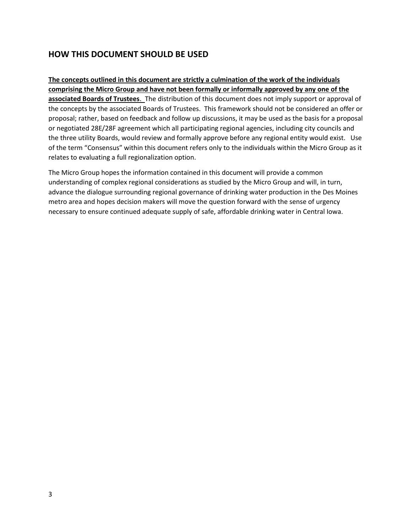# <span id="page-2-0"></span>**HOW THIS DOCUMENT SHOULD BE USED**

**The concepts outlined in this document are strictly a culmination of the work of the individuals comprising the Micro Group and have not been formally or informally approved by any one of the associated Boards of Trustees**. The distribution of this document does not imply support or approval of the concepts by the associated Boards of Trustees. This framework should not be considered an offer or proposal; rather, based on feedback and follow up discussions, it may be used as the basis for a proposal or negotiated 28E/28F agreement which all participating regional agencies, including city councils and the three utility Boards, would review and formally approve before any regional entity would exist. Use of the term "Consensus" within this document refers only to the individuals within the Micro Group as it relates to evaluating a full regionalization option.

The Micro Group hopes the information contained in this document will provide a common understanding of complex regional considerations as studied by the Micro Group and will, in turn, advance the dialogue surrounding regional governance of drinking water production in the Des Moines metro area and hopes decision makers will move the question forward with the sense of urgency necessary to ensure continued adequate supply of safe, affordable drinking water in Central Iowa.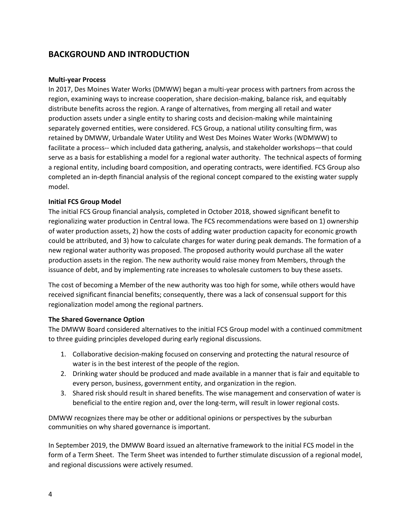# <span id="page-3-0"></span>**BACKGROUND AND INTRODUCTION**

## **Multi-year Process**

In 2017, Des Moines Water Works (DMWW) began a multi-year process with partners from across the region, examining ways to increase cooperation, share decision-making, balance risk, and equitably distribute benefits across the region. A range of alternatives, from merging all retail and water production assets under a single entity to sharing costs and decision-making while maintaining separately governed entities, were considered. FCS Group, a national utility consulting firm, was retained by DMWW, Urbandale Water Utility and West Des Moines Water Works (WDMWW) to facilitate a process-- which included data gathering, analysis, and stakeholder workshops—that could serve as a basis for establishing a model for a regional water authority. The technical aspects of forming a regional entity, including board composition, and operating contracts, were identified. FCS Group also completed an in-depth financial analysis of the regional concept compared to the existing water supply model.

## **Initial FCS Group Model**

The initial FCS Group financial analysis, completed in October 2018, showed significant benefit to regionalizing water production in Central Iowa. The FCS recommendations were based on 1) ownership of water production assets, 2) how the costs of adding water production capacity for economic growth could be attributed, and 3) how to calculate charges for water during peak demands. The formation of a new regional water authority was proposed. The proposed authority would purchase all the water production assets in the region. The new authority would raise money from Members, through the issuance of debt, and by implementing rate increases to wholesale customers to buy these assets.

The cost of becoming a Member of the new authority was too high for some, while others would have received significant financial benefits; consequently, there was a lack of consensual support for this regionalization model among the regional partners.

## **The Shared Governance Option**

The DMWW Board considered alternatives to the initial FCS Group model with a continued commitment to three guiding principles developed during early regional discussions.

- 1. Collaborative decision-making focused on conserving and protecting the natural resource of water is in the best interest of the people of the region.
- 2. Drinking water should be produced and made available in a manner that is fair and equitable to every person, business, government entity, and organization in the region.
- 3. Shared risk should result in shared benefits. The wise management and conservation of water is beneficial to the entire region and, over the long-term, will result in lower regional costs.

DMWW recognizes there may be other or additional opinions or perspectives by the suburban communities on why shared governance is important.

In September 2019, the DMWW Board issued an alternative framework to the initial FCS model in the form of a Term Sheet. The Term Sheet was intended to further stimulate discussion of a regional model, and regional discussions were actively resumed.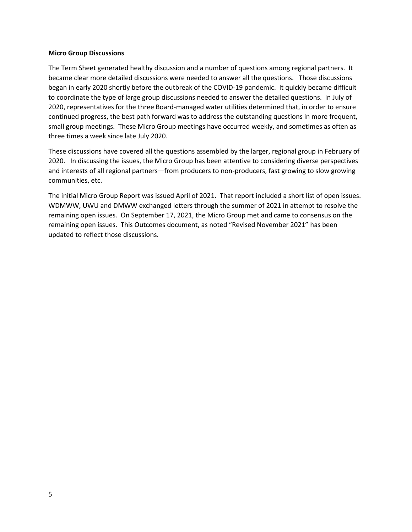#### **Micro Group Discussions**

The Term Sheet generated healthy discussion and a number of questions among regional partners. It became clear more detailed discussions were needed to answer all the questions. Those discussions began in early 2020 shortly before the outbreak of the COVID-19 pandemic. It quickly became difficult to coordinate the type of large group discussions needed to answer the detailed questions. In July of 2020, representatives for the three Board-managed water utilities determined that, in order to ensure continued progress, the best path forward was to address the outstanding questions in more frequent, small group meetings. These Micro Group meetings have occurred weekly, and sometimes as often as three times a week since late July 2020.

These discussions have covered all the questions assembled by the larger, regional group in February of 2020. In discussing the issues, the Micro Group has been attentive to considering diverse perspectives and interests of all regional partners—from producers to non-producers, fast growing to slow growing communities, etc.

The initial Micro Group Report was issued April of 2021. That report included a short list of open issues. WDMWW, UWU and DMWW exchanged letters through the summer of 2021 in attempt to resolve the remaining open issues. On September 17, 2021, the Micro Group met and came to consensus on the remaining open issues. This Outcomes document, as noted "Revised November 2021" has been updated to reflect those discussions.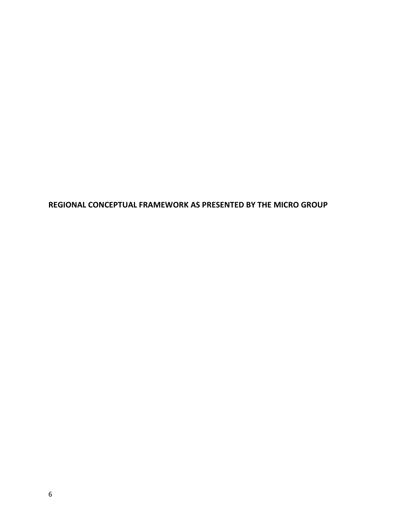**REGIONAL CONCEPTUAL FRAMEWORK AS PRESENTED BY THE MICRO GROUP**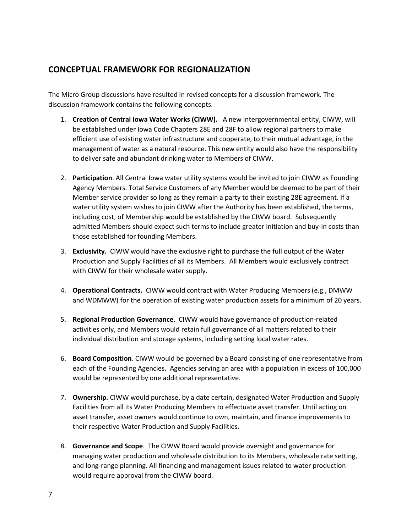# <span id="page-6-0"></span>**CONCEPTUAL FRAMEWORK FOR REGIONALIZATION**

The Micro Group discussions have resulted in revised concepts for a discussion framework. The discussion framework contains the following concepts.

- 1. **Creation of Central Iowa Water Works (CIWW).** A new intergovernmental entity, CIWW, will be established under Iowa Code Chapters 28E and 28F to allow regional partners to make efficient use of existing water infrastructure and cooperate, to their mutual advantage, in the management of water as a natural resource. This new entity would also have the responsibility to deliver safe and abundant drinking water to Members of CIWW.
- 2. **Participation**. All Central Iowa water utility systems would be invited to join CIWW as Founding Agency Members. Total Service Customers of any Member would be deemed to be part of their Member service provider so long as they remain a party to their existing 28E agreement. If a water utility system wishes to join CIWW after the Authority has been established, the terms, including cost, of Membership would be established by the CIWW board. Subsequently admitted Members should expect such terms to include greater initiation and buy-in costs than those established for founding Members.
- 3. **Exclusivity.** CIWW would have the exclusive right to purchase the full output of the Water Production and Supply Facilities of all its Members. All Members would exclusively contract with CIWW for their wholesale water supply.
- 4. **Operational Contracts.** CIWW would contract with Water Producing Members (e.g., DMWW and WDMWW) for the operation of existing water production assets for a minimum of 20 years.
- 5. **Regional Production Governance**. CIWW would have governance of production-related activities only, and Members would retain full governance of all matters related to their individual distribution and storage systems, including setting local water rates.
- 6. **Board Composition**. CIWW would be governed by a Board consisting of one representative from each of the Founding Agencies. Agencies serving an area with a population in excess of 100,000 would be represented by one additional representative.
- 7. **Ownership.** CIWW would purchase, by a date certain, designated Water Production and Supply Facilities from all its Water Producing Members to effectuate asset transfer. Until acting on asset transfer, asset owners would continue to own, maintain, and finance improvements to their respective Water Production and Supply Facilities.
- 8. **Governance and Scope**. The CIWW Board would provide oversight and governance for managing water production and wholesale distribution to its Members, wholesale rate setting, and long-range planning. All financing and management issues related to water production would require approval from the CIWW board.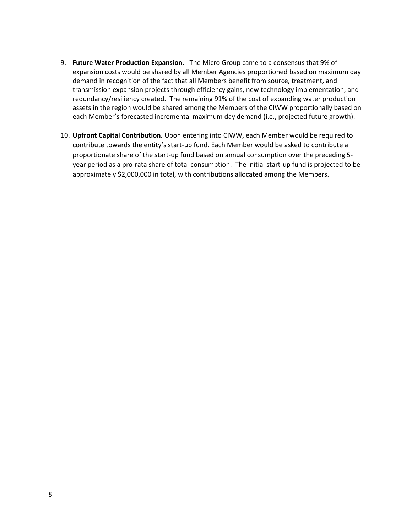- 9. **Future Water Production Expansion.** The Micro Group came to a consensus that 9% of expansion costs would be shared by all Member Agencies proportioned based on maximum day demand in recognition of the fact that all Members benefit from source, treatment, and transmission expansion projects through efficiency gains, new technology implementation, and redundancy/resiliency created. The remaining 91% of the cost of expanding water production assets in the region would be shared among the Members of the CIWW proportionally based on each Member's forecasted incremental maximum day demand (i.e., projected future growth).
- 10. **Upfront Capital Contribution.** Upon entering into CIWW, each Member would be required to contribute towards the entity's start-up fund. Each Member would be asked to contribute a proportionate share of the start-up fund based on annual consumption over the preceding 5 year period as a pro-rata share of total consumption. The initial start-up fund is projected to be approximately \$2,000,000 in total, with contributions allocated among the Members.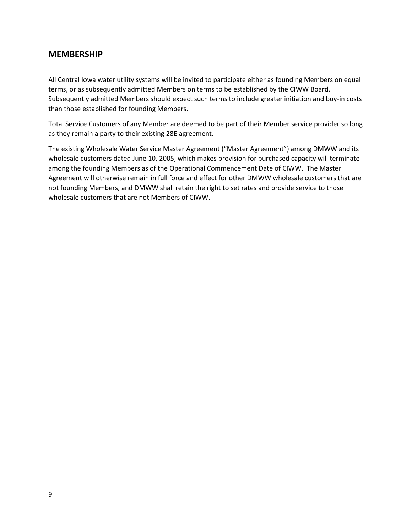## <span id="page-8-0"></span>**MEMBERSHIP**

All Central Iowa water utility systems will be invited to participate either as founding Members on equal terms, or as subsequently admitted Members on terms to be established by the CIWW Board. Subsequently admitted Members should expect such terms to include greater initiation and buy-in costs than those established for founding Members.

Total Service Customers of any Member are deemed to be part of their Member service provider so long as they remain a party to their existing 28E agreement.

The existing Wholesale Water Service Master Agreement ("Master Agreement") among DMWW and its wholesale customers dated June 10, 2005, which makes provision for purchased capacity will terminate among the founding Members as of the Operational Commencement Date of CIWW. The Master Agreement will otherwise remain in full force and effect for other DMWW wholesale customers that are not founding Members, and DMWW shall retain the right to set rates and provide service to those wholesale customers that are not Members of CIWW.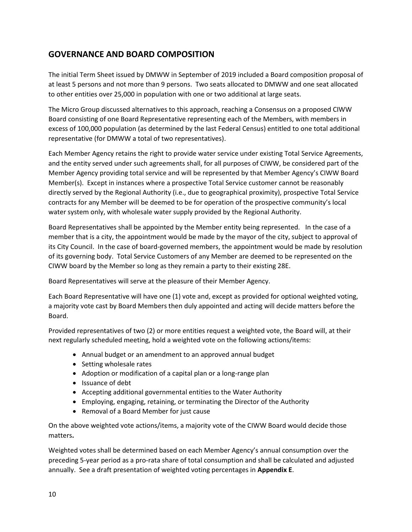# <span id="page-9-0"></span>**GOVERNANCE AND BOARD COMPOSITION**

The initial Term Sheet issued by DMWW in September of 2019 included a Board composition proposal of at least 5 persons and not more than 9 persons. Two seats allocated to DMWW and one seat allocated to other entities over 25,000 in population with one or two additional at large seats.

The Micro Group discussed alternatives to this approach, reaching a Consensus on a proposed CIWW Board consisting of one Board Representative representing each of the Members, with members in excess of 100,000 population (as determined by the last Federal Census) entitled to one total additional representative (for DMWW a total of two representatives).

Each Member Agency retains the right to provide water service under existing Total Service Agreements, and the entity served under such agreements shall, for all purposes of CIWW, be considered part of the Member Agency providing total service and will be represented by that Member Agency's CIWW Board Member(s). Except in instances where a prospective Total Service customer cannot be reasonably directly served by the Regional Authority (i.e., due to geographical proximity), prospective Total Service contracts for any Member will be deemed to be for operation of the prospective community's local water system only, with wholesale water supply provided by the Regional Authority.

Board Representatives shall be appointed by the Member entity being represented. In the case of a member that is a city, the appointment would be made by the mayor of the city, subject to approval of its City Council. In the case of board-governed members, the appointment would be made by resolution of its governing body. Total Service Customers of any Member are deemed to be represented on the CIWW board by the Member so long as they remain a party to their existing 28E.

Board Representatives will serve at the pleasure of their Member Agency.

Each Board Representative will have one (1) vote and, except as provided for optional weighted voting, a majority vote cast by Board Members then duly appointed and acting will decide matters before the Board.

Provided representatives of two (2) or more entities request a weighted vote, the Board will, at their next regularly scheduled meeting, hold a weighted vote on the following actions/items:

- Annual budget or an amendment to an approved annual budget
- Setting wholesale rates
- Adoption or modification of a capital plan or a long-range plan
- Issuance of debt
- Accepting additional governmental entities to the Water Authority
- Employing, engaging, retaining, or terminating the Director of the Authority
- Removal of a Board Member for just cause

On the above weighted vote actions/items, a majority vote of the CIWW Board would decide those matters**.** 

Weighted votes shall be determined based on each Member Agency's annual consumption over the preceding 5-year period as a pro-rata share of total consumption and shall be calculated and adjusted annually. See a draft presentation of weighted voting percentages in **Appendix E**.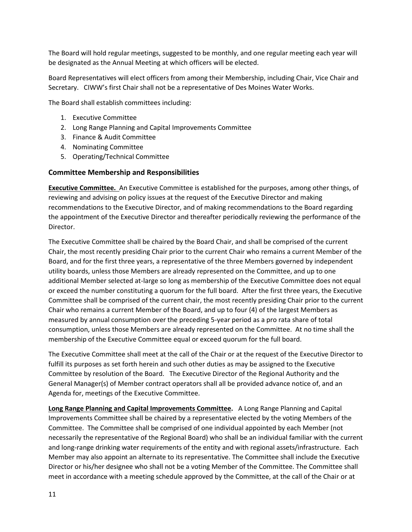The Board will hold regular meetings, suggested to be monthly, and one regular meeting each year will be designated as the Annual Meeting at which officers will be elected.

Board Representatives will elect officers from among their Membership, including Chair, Vice Chair and Secretary. CIWW's first Chair shall not be a representative of Des Moines Water Works.

The Board shall establish committees including:

- 1. Executive Committee
- 2. Long Range Planning and Capital Improvements Committee
- 3. Finance & Audit Committee
- 4. Nominating Committee
- 5. Operating/Technical Committee

## **Committee Membership and Responsibilities**

**Executive Committee.** An Executive Committee is established for the purposes, among other things, of reviewing and advising on policy issues at the request of the Executive Director and making recommendations to the Executive Director, and of making recommendations to the Board regarding the appointment of the Executive Director and thereafter periodically reviewing the performance of the Director.

The Executive Committee shall be chaired by the Board Chair, and shall be comprised of the current Chair, the most recently presiding Chair prior to the current Chair who remains a current Member of the Board, and for the first three years, a representative of the three Members governed by independent utility boards, unless those Members are already represented on the Committee, and up to one additional Member selected at-large so long as membership of the Executive Committee does not equal or exceed the number constituting a quorum for the full board. After the first three years, the Executive Committee shall be comprised of the current chair, the most recently presiding Chair prior to the current Chair who remains a current Member of the Board, and up to four (4) of the largest Members as measured by annual consumption over the preceding 5-year period as a pro rata share of total consumption, unless those Members are already represented on the Committee. At no time shall the membership of the Executive Committee equal or exceed quorum for the full board.

The Executive Committee shall meet at the call of the Chair or at the request of the Executive Director to fulfill its purposes as set forth herein and such other duties as may be assigned to the Executive Committee by resolution of the Board. The Executive Director of the Regional Authority and the General Manager(s) of Member contract operators shall all be provided advance notice of, and an Agenda for, meetings of the Executive Committee.

**Long Range Planning and Capital Improvements Committee.** A Long Range Planning and Capital Improvements Committee shall be chaired by a representative elected by the voting Members of the Committee. The Committee shall be comprised of one individual appointed by each Member (not necessarily the representative of the Regional Board) who shall be an individual familiar with the current and long-range drinking water requirements of the entity and with regional assets/infrastructure. Each Member may also appoint an alternate to its representative. The Committee shall include the Executive Director or his/her designee who shall not be a voting Member of the Committee. The Committee shall meet in accordance with a meeting schedule approved by the Committee, at the call of the Chair or at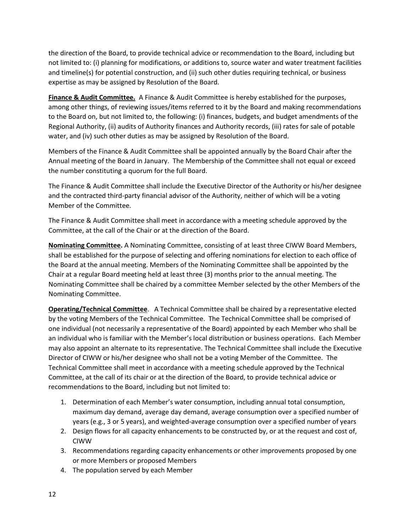the direction of the Board, to provide technical advice or recommendation to the Board, including but not limited to: (i) planning for modifications, or additions to, source water and water treatment facilities and timeline(s) for potential construction, and (ii) such other duties requiring technical, or business expertise as may be assigned by Resolution of the Board.

**Finance & Audit Committee.** A Finance & Audit Committee is hereby established for the purposes, among other things, of reviewing issues/items referred to it by the Board and making recommendations to the Board on, but not limited to, the following: (i) finances, budgets, and budget amendments of the Regional Authority, (ii) audits of Authority finances and Authority records, (iii) rates for sale of potable water, and (iv) such other duties as may be assigned by Resolution of the Board.

Members of the Finance & Audit Committee shall be appointed annually by the Board Chair after the Annual meeting of the Board in January. The Membership of the Committee shall not equal or exceed the number constituting a quorum for the full Board.

The Finance & Audit Committee shall include the Executive Director of the Authority or his/her designee and the contracted third-party financial advisor of the Authority, neither of which will be a voting Member of the Committee.

The Finance & Audit Committee shall meet in accordance with a meeting schedule approved by the Committee, at the call of the Chair or at the direction of the Board.

**Nominating Committee.** A Nominating Committee, consisting of at least three CIWW Board Members, shall be established for the purpose of selecting and offering nominations for election to each office of the Board at the annual meeting. Members of the Nominating Committee shall be appointed by the Chair at a regular Board meeting held at least three (3) months prior to the annual meeting. The Nominating Committee shall be chaired by a committee Member selected by the other Members of the Nominating Committee.

**Operating/Technical Committee**. A Technical Committee shall be chaired by a representative elected by the voting Members of the Technical Committee. The Technical Committee shall be comprised of one individual (not necessarily a representative of the Board) appointed by each Member who shall be an individual who is familiar with the Member's local distribution or business operations. Each Member may also appoint an alternate to its representative. The Technical Committee shall include the Executive Director of CIWW or his/her designee who shall not be a voting Member of the Committee. The Technical Committee shall meet in accordance with a meeting schedule approved by the Technical Committee, at the call of its chair or at the direction of the Board, to provide technical advice or recommendations to the Board, including but not limited to:

- 1. Determination of each Member's water consumption, including annual total consumption, maximum day demand, average day demand, average consumption over a specified number of years (e.g., 3 or 5 years), and weighted-average consumption over a specified number of years
- 2. Design flows for all capacity enhancements to be constructed by, or at the request and cost of, CIWW
- 3. Recommendations regarding capacity enhancements or other improvements proposed by one or more Members or proposed Members
- 4. The population served by each Member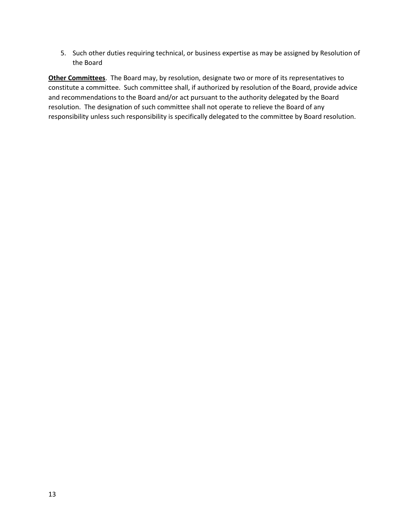5. Such other duties requiring technical, or business expertise as may be assigned by Resolution of the Board

**Other Committees**. The Board may, by resolution, designate two or more of its representatives to constitute a committee. Such committee shall, if authorized by resolution of the Board, provide advice and recommendations to the Board and/or act pursuant to the authority delegated by the Board resolution. The designation of such committee shall not operate to relieve the Board of any responsibility unless such responsibility is specifically delegated to the committee by Board resolution.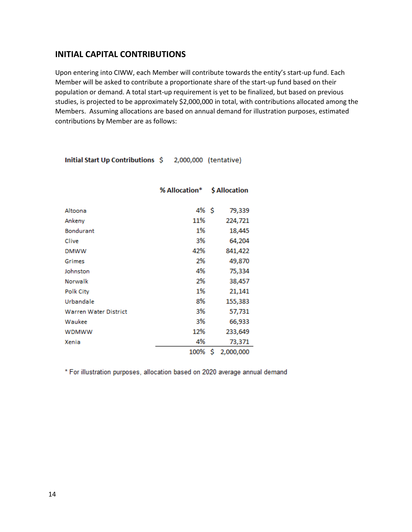## <span id="page-13-0"></span>**INITIAL CAPITAL CONTRIBUTIONS**

Upon entering into CIWW, each Member will contribute towards the entity's start-up fund. Each Member will be asked to contribute a proportionate share of the start-up fund based on their population or demand. A total start-up requirement is yet to be finalized, but based on previous studies, is projected to be approximately \$2,000,000 in total, with contributions allocated among the Members. Assuming allocations are based on annual demand for illustration purposes, estimated contributions by Member are as follows:

Initial Start Up Contributions \$ 2,000,000 (tentative)

|                              | % Allocation* | \$ Allocation   |
|------------------------------|---------------|-----------------|
|                              |               |                 |
| Altoona                      | 4% S          | 79,339          |
| Ankeny                       | 11%           | 224,721         |
| <b>Bondurant</b>             | 1%            | 18,445          |
| Clive                        | 3%            | 64,204          |
| <b>DMWW</b>                  | 42%           | 841,422         |
| Grimes                       | 2%            | 49,870          |
| Johnston                     | 4%            | 75,334          |
| Norwalk                      | 2%            | 38,457          |
| <b>Polk City</b>             | 1%            | 21,141          |
| Urbandale                    | 8%            | 155,383         |
| <b>Warren Water District</b> | 3%            | 57,731          |
| Waukee                       | 3%            | 66,933          |
| <b>WDMWW</b>                 | 12%           | 233,649         |
| Xenia                        | 4%            | 73,371          |
|                              | 100%          | \$<br>2,000,000 |

\* For illustration purposes, allocation based on 2020 average annual demand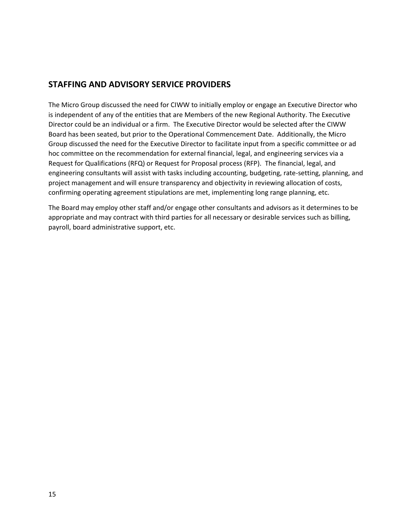## <span id="page-14-0"></span>**STAFFING AND ADVISORY SERVICE PROVIDERS**

The Micro Group discussed the need for CIWW to initially employ or engage an Executive Director who is independent of any of the entities that are Members of the new Regional Authority. The Executive Director could be an individual or a firm. The Executive Director would be selected after the CIWW Board has been seated, but prior to the Operational Commencement Date. Additionally, the Micro Group discussed the need for the Executive Director to facilitate input from a specific committee or ad hoc committee on the recommendation for external financial, legal, and engineering services via a Request for Qualifications (RFQ) or Request for Proposal process (RFP). The financial, legal, and engineering consultants will assist with tasks including accounting, budgeting, rate-setting, planning, and project management and will ensure transparency and objectivity in reviewing allocation of costs, confirming operating agreement stipulations are met, implementing long range planning, etc.

The Board may employ other staff and/or engage other consultants and advisors as it determines to be appropriate and may contract with third parties for all necessary or desirable services such as billing, payroll, board administrative support, etc.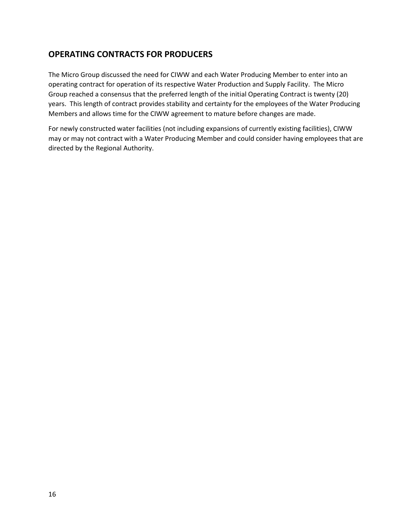# <span id="page-15-0"></span>**OPERATING CONTRACTS FOR PRODUCERS**

The Micro Group discussed the need for CIWW and each Water Producing Member to enter into an operating contract for operation of its respective Water Production and Supply Facility. The Micro Group reached a consensus that the preferred length of the initial Operating Contract is twenty (20) years. This length of contract provides stability and certainty for the employees of the Water Producing Members and allows time for the CIWW agreement to mature before changes are made.

For newly constructed water facilities (not including expansions of currently existing facilities), CIWW may or may not contract with a Water Producing Member and could consider having employees that are directed by the Regional Authority.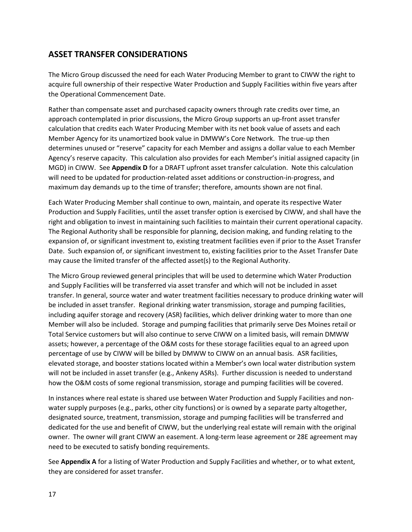# <span id="page-16-0"></span>**ASSET TRANSFER CONSIDERATIONS**

The Micro Group discussed the need for each Water Producing Member to grant to CIWW the right to acquire full ownership of their respective Water Production and Supply Facilities within five years after the Operational Commencement Date.

Rather than compensate asset and purchased capacity owners through rate credits over time, an approach contemplated in prior discussions, the Micro Group supports an up-front asset transfer calculation that credits each Water Producing Member with its net book value of assets and each Member Agency for its unamortized book value in DMWW's Core Network. The true-up then determines unused or "reserve" capacity for each Member and assigns a dollar value to each Member Agency's reserve capacity. This calculation also provides for each Member's initial assigned capacity (in MGD) in CIWW. See **Appendix D** for a DRAFT upfront asset transfer calculation. Note this calculation will need to be updated for production-related asset additions or construction-in-progress, and maximum day demands up to the time of transfer; therefore, amounts shown are not final.

Each Water Producing Member shall continue to own, maintain, and operate its respective Water Production and Supply Facilities, until the asset transfer option is exercised by CIWW, and shall have the right and obligation to invest in maintaining such facilities to maintain their current operational capacity. The Regional Authority shall be responsible for planning, decision making, and funding relating to the expansion of, or significant investment to, existing treatment facilities even if prior to the Asset Transfer Date. Such expansion of, or significant investment to, existing facilities prior to the Asset Transfer Date may cause the limited transfer of the affected asset(s) to the Regional Authority.

The Micro Group reviewed general principles that will be used to determine which Water Production and Supply Facilities will be transferred via asset transfer and which will not be included in asset transfer. In general, source water and water treatment facilities necessary to produce drinking water will be included in asset transfer. Regional drinking water transmission, storage and pumping facilities, including aquifer storage and recovery (ASR) facilities, which deliver drinking water to more than one Member will also be included. Storage and pumping facilities that primarily serve Des Moines retail or Total Service customers but will also continue to serve CIWW on a limited basis, will remain DMWW assets; however, a percentage of the O&M costs for these storage facilities equal to an agreed upon percentage of use by CIWW will be billed by DMWW to CIWW on an annual basis. ASR facilities, elevated storage, and booster stations located within a Member's own local water distribution system will not be included in asset transfer (e.g., Ankeny ASRs). Further discussion is needed to understand how the O&M costs of some regional transmission, storage and pumping facilities will be covered.

In instances where real estate is shared use between Water Production and Supply Facilities and nonwater supply purposes (e.g., parks, other city functions) or is owned by a separate party altogether, designated source, treatment, transmission, storage and pumping facilities will be transferred and dedicated for the use and benefit of CIWW, but the underlying real estate will remain with the original owner. The owner will grant CIWW an easement. A long-term lease agreement or 28E agreement may need to be executed to satisfy bonding requirements.

See **Appendix A** for a listing of Water Production and Supply Facilities and whether, or to what extent, they are considered for asset transfer.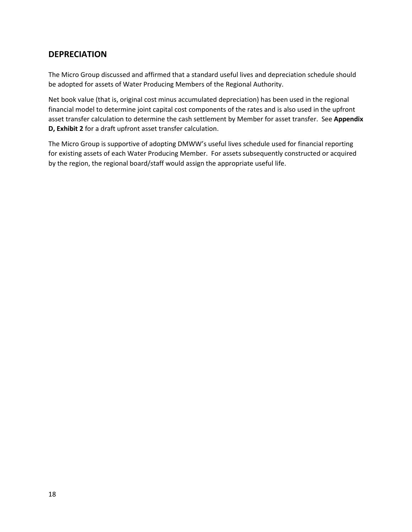# <span id="page-17-0"></span>**DEPRECIATION**

The Micro Group discussed and affirmed that a standard useful lives and depreciation schedule should be adopted for assets of Water Producing Members of the Regional Authority.

Net book value (that is, original cost minus accumulated depreciation) has been used in the regional financial model to determine joint capital cost components of the rates and is also used in the upfront asset transfer calculation to determine the cash settlement by Member for asset transfer. See **Appendix D, Exhibit 2** for a draft upfront asset transfer calculation.

The Micro Group is supportive of adopting DMWW's useful lives schedule used for financial reporting for existing assets of each Water Producing Member. For assets subsequently constructed or acquired by the region, the regional board/staff would assign the appropriate useful life.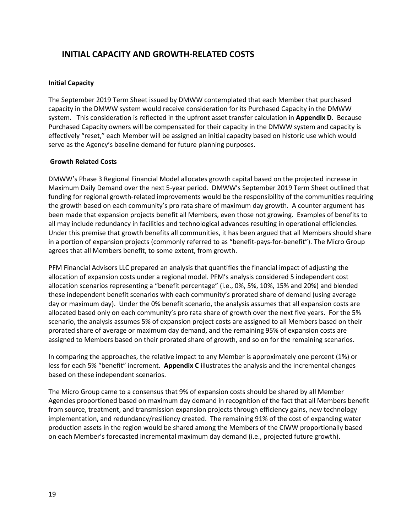# <span id="page-18-0"></span>**INITIAL CAPACITY AND GROWTH-RELATED COSTS**

### **Initial Capacity**

The September 2019 Term Sheet issued by DMWW contemplated that each Member that purchased capacity in the DMWW system would receive consideration for its Purchased Capacity in the DMWW system. This consideration is reflected in the upfront asset transfer calculation in **Appendix D**. Because Purchased Capacity owners will be compensated for their capacity in the DMWW system and capacity is effectively "reset," each Member will be assigned an initial capacity based on historic use which would serve as the Agency's baseline demand for future planning purposes.

#### **Growth Related Costs**

DMWW's Phase 3 Regional Financial Model allocates growth capital based on the projected increase in Maximum Daily Demand over the next 5-year period. DMWW's September 2019 Term Sheet outlined that funding for regional growth-related improvements would be the responsibility of the communities requiring the growth based on each community's pro rata share of maximum day growth. A counter argument has been made that expansion projects benefit all Members, even those not growing. Examples of benefits to all may include redundancy in facilities and technological advances resulting in operational efficiencies. Under this premise that growth benefits all communities, it has been argued that all Members should share in a portion of expansion projects (commonly referred to as "benefit-pays-for-benefit"). The Micro Group agrees that all Members benefit, to some extent, from growth.

PFM Financial Advisors LLC prepared an analysis that quantifies the financial impact of adjusting the allocation of expansion costs under a regional model. PFM's analysis considered 5 independent cost allocation scenarios representing a "benefit percentage" (i.e., 0%, 5%, 10%, 15% and 20%) and blended these independent benefit scenarios with each community's prorated share of demand (using average day or maximum day). Under the 0% benefit scenario, the analysis assumes that all expansion costs are allocated based only on each community's pro rata share of growth over the next five years. For the 5% scenario, the analysis assumes 5% of expansion project costs are assigned to all Members based on their prorated share of average or maximum day demand, and the remaining 95% of expansion costs are assigned to Members based on their prorated share of growth, and so on for the remaining scenarios.

In comparing the approaches, the relative impact to any Member is approximately one percent (1%) or less for each 5% "benefit" increment. **Appendix C** illustrates the analysis and the incremental changes based on these independent scenarios.

The Micro Group came to a consensus that 9% of expansion costs should be shared by all Member Agencies proportioned based on maximum day demand in recognition of the fact that all Members benefit from source, treatment, and transmission expansion projects through efficiency gains, new technology implementation, and redundancy/resiliency created. The remaining 91% of the cost of expanding water production assets in the region would be shared among the Members of the CIWW proportionally based on each Member's forecasted incremental maximum day demand (i.e., projected future growth).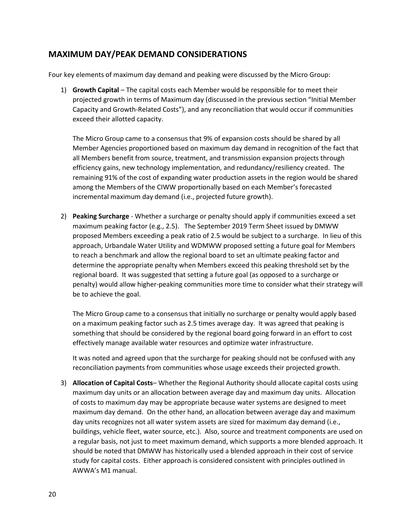## <span id="page-19-0"></span>**MAXIMUM DAY/PEAK DEMAND CONSIDERATIONS**

Four key elements of maximum day demand and peaking were discussed by the Micro Group:

1) **Growth Capital** – The capital costs each Member would be responsible for to meet their projected growth in terms of Maximum day (discussed in the previous section "Initial Member Capacity and Growth-Related Costs"), and any reconciliation that would occur if communities exceed their allotted capacity.

The Micro Group came to a consensus that 9% of expansion costs should be shared by all Member Agencies proportioned based on maximum day demand in recognition of the fact that all Members benefit from source, treatment, and transmission expansion projects through efficiency gains, new technology implementation, and redundancy/resiliency created. The remaining 91% of the cost of expanding water production assets in the region would be shared among the Members of the CIWW proportionally based on each Member's forecasted incremental maximum day demand (i.e., projected future growth).

2) **Peaking Surcharge** - Whether a surcharge or penalty should apply if communities exceed a set maximum peaking factor (e.g., 2.5). The September 2019 Term Sheet issued by DMWW proposed Members exceeding a peak ratio of 2.5 would be subject to a surcharge. In lieu of this approach, Urbandale Water Utility and WDMWW proposed setting a future goal for Members to reach a benchmark and allow the regional board to set an ultimate peaking factor and determine the appropriate penalty when Members exceed this peaking threshold set by the regional board. It was suggested that setting a future goal (as opposed to a surcharge or penalty) would allow higher-peaking communities more time to consider what their strategy will be to achieve the goal.

The Micro Group came to a consensus that initially no surcharge or penalty would apply based on a maximum peaking factor such as 2.5 times average day. It was agreed that peaking is something that should be considered by the regional board going forward in an effort to cost effectively manage available water resources and optimize water infrastructure.

It was noted and agreed upon that the surcharge for peaking should not be confused with any reconciliation payments from communities whose usage exceeds their projected growth.

3) **Allocation of Capital Costs**– Whether the Regional Authority should allocate capital costs using maximum day units or an allocation between average day and maximum day units. Allocation of costs to maximum day may be appropriate because water systems are designed to meet maximum day demand. On the other hand, an allocation between average day and maximum day units recognizes not all water system assets are sized for maximum day demand (i.e., buildings, vehicle fleet, water source, etc.). Also, source and treatment components are used on a regular basis, not just to meet maximum demand, which supports a more blended approach. It should be noted that DMWW has historically used a blended approach in their cost of service study for capital costs. Either approach is considered consistent with principles outlined in AWWA's M1 manual.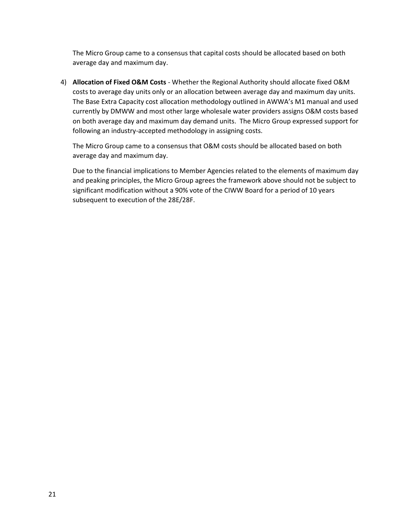The Micro Group came to a consensus that capital costs should be allocated based on both average day and maximum day.

4) **Allocation of Fixed O&M Costs** - Whether the Regional Authority should allocate fixed O&M costs to average day units only or an allocation between average day and maximum day units. The Base Extra Capacity cost allocation methodology outlined in AWWA's M1 manual and used currently by DMWW and most other large wholesale water providers assigns O&M costs based on both average day and maximum day demand units. The Micro Group expressed support for following an industry-accepted methodology in assigning costs.

The Micro Group came to a consensus that O&M costs should be allocated based on both average day and maximum day.

Due to the financial implications to Member Agencies related to the elements of maximum day and peaking principles, the Micro Group agrees the framework above should not be subject to significant modification without a 90% vote of the CIWW Board for a period of 10 years subsequent to execution of the 28E/28F.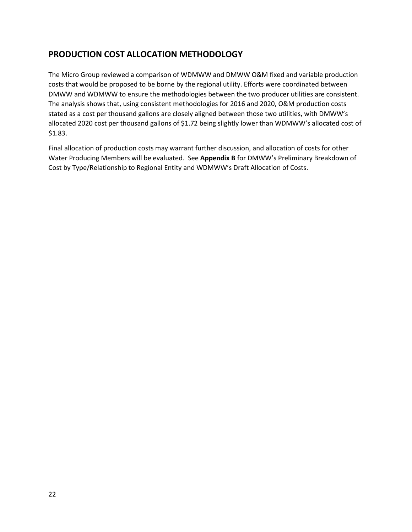# <span id="page-21-0"></span>**PRODUCTION COST ALLOCATION METHODOLOGY**

The Micro Group reviewed a comparison of WDMWW and DMWW O&M fixed and variable production costs that would be proposed to be borne by the regional utility. Efforts were coordinated between DMWW and WDMWW to ensure the methodologies between the two producer utilities are consistent. The analysis shows that, using consistent methodologies for 2016 and 2020, O&M production costs stated as a cost per thousand gallons are closely aligned between those two utilities, with DMWW's allocated 2020 cost per thousand gallons of \$1.72 being slightly lower than WDMWW's allocated cost of \$1.83.

Final allocation of production costs may warrant further discussion, and allocation of costs for other Water Producing Members will be evaluated. See **Appendix B** for DMWW's Preliminary Breakdown of Cost by Type/Relationship to Regional Entity and WDMWW's Draft Allocation of Costs.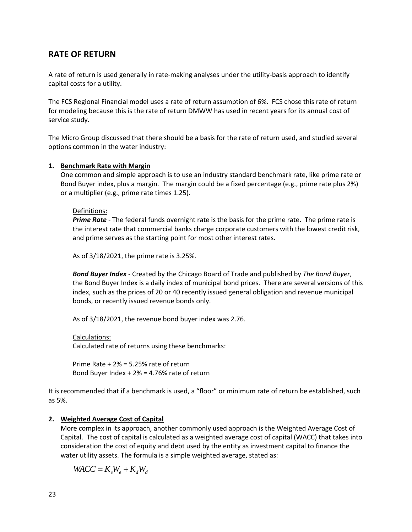# <span id="page-22-0"></span>**RATE OF RETURN**

A rate of return is used generally in rate-making analyses under the utility-basis approach to identify capital costs for a utility.

The FCS Regional Financial model uses a rate of return assumption of 6%. FCS chose this rate of return for modeling because this is the rate of return DMWW has used in recent years for its annual cost of service study.

The Micro Group discussed that there should be a basis for the rate of return used, and studied several options common in the water industry:

## **1. Benchmark Rate with Margin**

One common and simple approach is to use an industry standard benchmark rate, like prime rate or Bond Buyer index, plus a margin. The margin could be a fixed percentage (e.g., prime rate plus 2%) or a multiplier (e.g., prime rate times 1.25).

## Definitions:

*Prime Rate* - The federal funds overnight rate is the basis for the prime rate. The prime rate is the interest rate that commercial banks charge corporate customers with the lowest credit risk, and prime serves as the starting point for most other interest rates.

As of 3/18/2021, the prime rate is 3.25%.

*Bond Buyer Index* - Created by the Chicago Board of Trade and published by *The Bond Buyer*, the Bond Buyer Index is a daily index of municipal bond prices. There are several versions of this index, such as the prices of 20 or 40 recently issued general obligation and revenue municipal bonds, or recently issued revenue bonds only.

As of 3/18/2021, the revenue bond buyer index was 2.76.

Calculations: Calculated rate of returns using these benchmarks:

Prime Rate + 2% = 5.25% rate of return Bond Buyer Index + 2% = 4.76% rate of return

It is recommended that if a benchmark is used, a "floor" or minimum rate of return be established, such as 5%.

## **2. Weighted Average Cost of Capital**

More complex in its approach, another commonly used approach is the Weighted Average Cost of Capital. The cost of capital is calculated as a weighted average cost of capital (WACC) that takes into consideration the cost of equity and debt used by the entity as investment capital to finance the water utility assets. The formula is a simple weighted average, stated as:

 $WACC = K_eW_e + K_dW_d$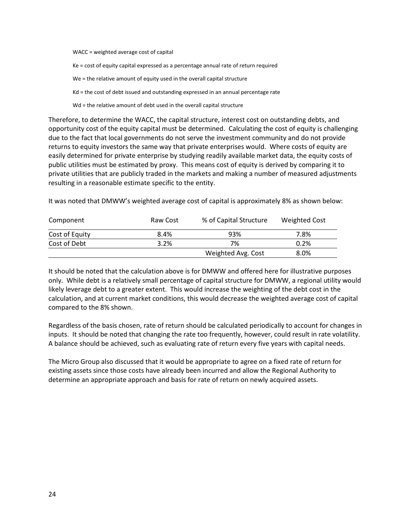WACC = weighted average cost of capital

Ke = cost of equity capital expressed as a percentage annual rate of return required

We = the relative amount of equity used in the overall capital structure

Kd = the cost of debt issued and outstanding expressed in an annual percentage rate

Wd = the relative amount of debt used in the overall capital structure

Therefore, to determine the WACC, the capital structure, interest cost on outstanding debts, and opportunity cost of the equity capital must be determined. Calculating the cost of equity is challenging due to the fact that local governments do not serve the investment community and do not provide returns to equity investors the same way that private enterprises would. Where costs of equity are easily determined for private enterprise by studying readily available market data, the equity costs of public utilities must be estimated by proxy. This means cost of equity is derived by comparing it to private utilities that are publicly traded in the markets and making a number of measured adjustments resulting in a reasonable estimate specific to the entity.

It was noted that DMWW's weighted average cost of capital is approximately 8% as shown below:

| Component      | Raw Cost | % of Capital Structure | Weighted Cost |
|----------------|----------|------------------------|---------------|
| Cost of Equity | 8.4%     | 93%                    | 7.8%          |
| Cost of Debt   | 3.2%     | 7%                     | 0.2%          |
|                |          | Weighted Avg. Cost     | 8.0%          |

It should be noted that the calculation above is for DMWW and offered here for illustrative purposes only. While debt is a relatively small percentage of capital structure for DMWW, a regional utility would likely leverage debt to a greater extent. This would increase the weighting of the debt cost in the calculation, and at current market conditions, this would decrease the weighted average cost of capital compared to the 8% shown.

Regardless of the basis chosen, rate of return should be calculated periodically to account for changes in inputs. It should be noted that changing the rate too frequently, however, could result in rate volatility. A balance should be achieved, such as evaluating rate of return every five years with capital needs.

The Micro Group also discussed that it would be appropriate to agree on a fixed rate of return for existing assets since those costs have already been incurred and allow the Regional Authority to determine an appropriate approach and basis for rate of return on newly acquired assets.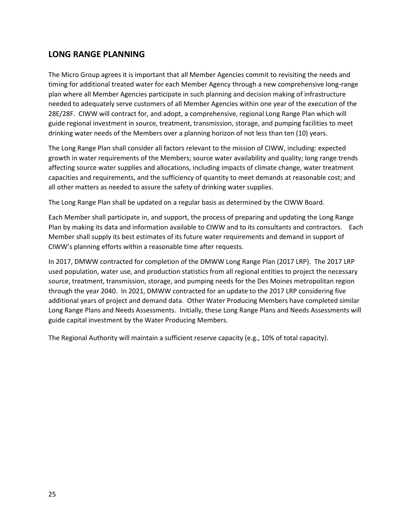# <span id="page-24-0"></span>**LONG RANGE PLANNING**

The Micro Group agrees it is important that all Member Agencies commit to revisiting the needs and timing for additional treated water for each Member Agency through a new comprehensive long-range plan where all Member Agencies participate in such planning and decision making of infrastructure needed to adequately serve customers of all Member Agencies within one year of the execution of the 28E/28F. CIWW will contract for, and adopt, a comprehensive, regional Long Range Plan which will guide regional investment in source, treatment, transmission, storage, and pumping facilities to meet drinking water needs of the Members over a planning horizon of not less than ten (10) years.

The Long Range Plan shall consider all factors relevant to the mission of CIWW, including: expected growth in water requirements of the Members; source water availability and quality; long range trends affecting source water supplies and allocations, including impacts of climate change, water treatment capacities and requirements, and the sufficiency of quantity to meet demands at reasonable cost; and all other matters as needed to assure the safety of drinking water supplies.

The Long Range Plan shall be updated on a regular basis as determined by the CIWW Board.

Each Member shall participate in, and support, the process of preparing and updating the Long Range Plan by making its data and information available to CIWW and to its consultants and contractors. Each Member shall supply its best estimates of its future water requirements and demand in support of CIWW's planning efforts within a reasonable time after requests.

In 2017, DMWW contracted for completion of the DMWW Long Range Plan (2017 LRP). The 2017 LRP used population, water use, and production statistics from all regional entities to project the necessary source, treatment, transmission, storage, and pumping needs for the Des Moines metropolitan region through the year 2040. In 2021, DMWW contracted for an update to the 2017 LRP considering five additional years of project and demand data. Other Water Producing Members have completed similar Long Range Plans and Needs Assessments. Initially, these Long Range Plans and Needs Assessments will guide capital investment by the Water Producing Members.

The Regional Authority will maintain a sufficient reserve capacity (e.g., 10% of total capacity).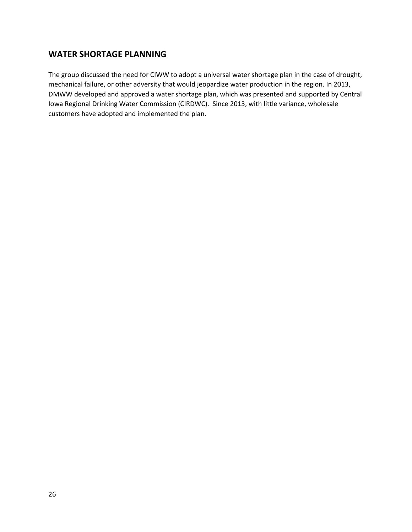# <span id="page-25-0"></span>**WATER SHORTAGE PLANNING**

The group discussed the need for CIWW to adopt a universal water shortage plan in the case of drought, mechanical failure, or other adversity that would jeopardize water production in the region. In 2013, DMWW developed and approved a water shortage plan, which was presented and supported by Central Iowa Regional Drinking Water Commission (CIRDWC). Since 2013, with little variance, wholesale customers have adopted and implemented the plan.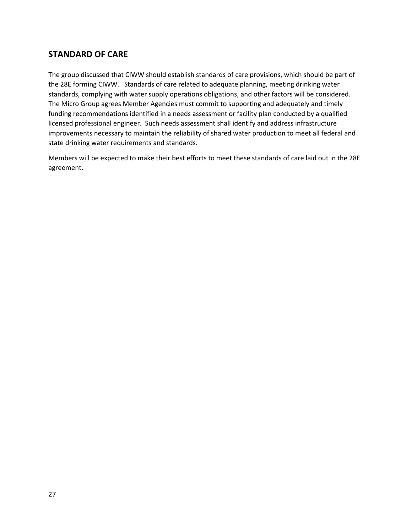# <span id="page-26-0"></span>**STANDARD OF CARE**

The group discussed that CIWW should establish standards of care provisions, which should be part of the 28E forming CIWW. Standards of care related to adequate planning, meeting drinking water standards, complying with water supply operations obligations, and other factors will be considered. The Micro Group agrees Member Agencies must commit to supporting and adequately and timely funding recommendations identified in a needs assessment or facility plan conducted by a qualified licensed professional engineer. Such needs assessment shall identify and address infrastructure improvements necessary to maintain the reliability of shared water production to meet all federal and state drinking water requirements and standards.

Members will be expected to make their best efforts to meet these standards of care laid out in the 28E agreement.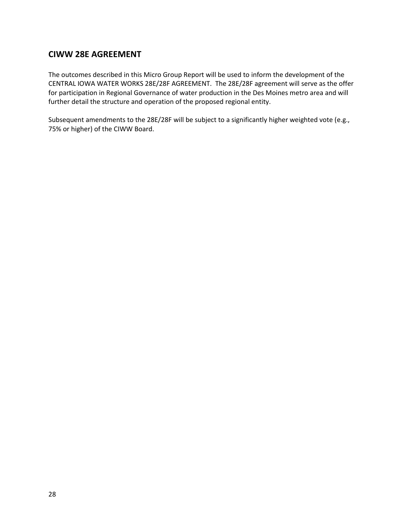# <span id="page-27-0"></span>**CIWW 28E AGREEMENT**

The outcomes described in this Micro Group Report will be used to inform the development of the CENTRAL IOWA WATER WORKS 28E/28F AGREEMENT. The 28E/28F agreement will serve as the offer for participation in Regional Governance of water production in the Des Moines metro area and will further detail the structure and operation of the proposed regional entity.

Subsequent amendments to the 28E/28F will be subject to a significantly higher weighted vote (e.g., 75% or higher) of the CIWW Board.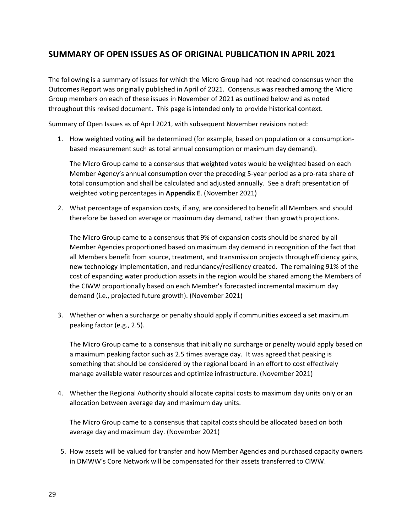# <span id="page-28-0"></span>**SUMMARY OF OPEN ISSUES AS OF ORIGINAL PUBLICATION IN APRIL 2021**

The following is a summary of issues for which the Micro Group had not reached consensus when the Outcomes Report was originally published in April of 2021. Consensus was reached among the Micro Group members on each of these issues in November of 2021 as outlined below and as noted throughout this revised document. This page is intended only to provide historical context.

Summary of Open Issues as of April 2021, with subsequent November revisions noted:

1. How weighted voting will be determined (for example, based on population or a consumptionbased measurement such as total annual consumption or maximum day demand).

The Micro Group came to a consensus that weighted votes would be weighted based on each Member Agency's annual consumption over the preceding 5-year period as a pro-rata share of total consumption and shall be calculated and adjusted annually. See a draft presentation of weighted voting percentages in **Appendix E**. (November 2021)

2. What percentage of expansion costs, if any, are considered to benefit all Members and should therefore be based on average or maximum day demand, rather than growth projections.

The Micro Group came to a consensus that 9% of expansion costs should be shared by all Member Agencies proportioned based on maximum day demand in recognition of the fact that all Members benefit from source, treatment, and transmission projects through efficiency gains, new technology implementation, and redundancy/resiliency created. The remaining 91% of the cost of expanding water production assets in the region would be shared among the Members of the CIWW proportionally based on each Member's forecasted incremental maximum day demand (i.e., projected future growth). (November 2021)

3. Whether or when a surcharge or penalty should apply if communities exceed a set maximum peaking factor (e.g., 2.5).

The Micro Group came to a consensus that initially no surcharge or penalty would apply based on a maximum peaking factor such as 2.5 times average day. It was agreed that peaking is something that should be considered by the regional board in an effort to cost effectively manage available water resources and optimize infrastructure. (November 2021)

4. Whether the Regional Authority should allocate capital costs to maximum day units only or an allocation between average day and maximum day units.

The Micro Group came to a consensus that capital costs should be allocated based on both average day and maximum day. (November 2021)

5. How assets will be valued for transfer and how Member Agencies and purchased capacity owners in DMWW's Core Network will be compensated for their assets transferred to CIWW.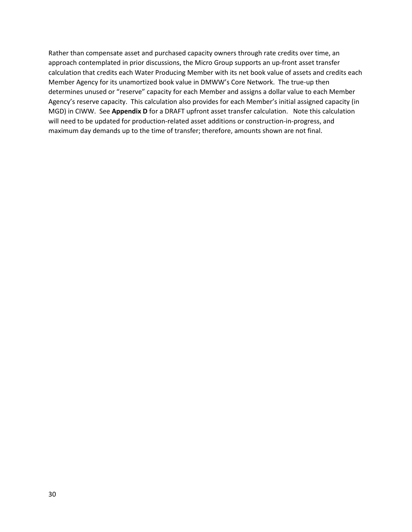Rather than compensate asset and purchased capacity owners through rate credits over time, an approach contemplated in prior discussions, the Micro Group supports an up-front asset transfer calculation that credits each Water Producing Member with its net book value of assets and credits each Member Agency for its unamortized book value in DMWW's Core Network. The true-up then determines unused or "reserve" capacity for each Member and assigns a dollar value to each Member Agency's reserve capacity. This calculation also provides for each Member's initial assigned capacity (in MGD) in CIWW. See **Appendix D** for a DRAFT upfront asset transfer calculation. Note this calculation will need to be updated for production-related asset additions or construction-in-progress, and maximum day demands up to the time of transfer; therefore, amounts shown are not final.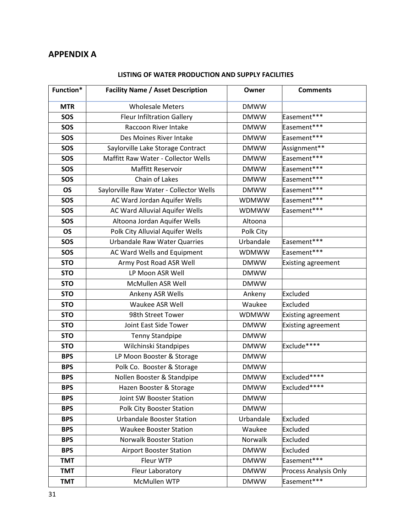# <span id="page-30-0"></span>**APPENDIX A**

| Function*  | <b>Facility Name / Asset Description</b> | Owner        | <b>Comments</b>           |
|------------|------------------------------------------|--------------|---------------------------|
| <b>MTR</b> | <b>Wholesale Meters</b>                  | <b>DMWW</b>  |                           |
| SOS        | <b>Fleur Infiltration Gallery</b>        | <b>DMWW</b>  | Easement***               |
| SOS        | Raccoon River Intake                     | <b>DMWW</b>  | Easement***               |
| SOS        | Des Moines River Intake                  | <b>DMWW</b>  | Easement***               |
| SOS        | Saylorville Lake Storage Contract        | <b>DMWW</b>  | Assignment**              |
| SOS        | Maffitt Raw Water - Collector Wells      | <b>DMWW</b>  | Easement***               |
| SOS        | <b>Maffitt Reservoir</b>                 | <b>DMWW</b>  | Easement***               |
| SOS        | Chain of Lakes                           | <b>DMWW</b>  | Easement***               |
| <b>OS</b>  | Saylorville Raw Water - Collector Wells  | <b>DMWW</b>  | Easement***               |
| SOS        | AC Ward Jordan Aquifer Wells             | <b>WDMWW</b> | Easement***               |
| SOS        | AC Ward Alluvial Aquifer Wells           | <b>WDMWW</b> | Easement***               |
| SOS        | Altoona Jordan Aquifer Wells             | Altoona      |                           |
| <b>OS</b>  | Polk City Alluvial Aquifer Wells         | Polk City    |                           |
| SOS        | <b>Urbandale Raw Water Quarries</b>      | Urbandale    | Easement***               |
| SOS        | AC Ward Wells and Equipment              | <b>WDMWW</b> | Easement***               |
| <b>STO</b> | Army Post Road ASR Well                  | <b>DMWW</b>  | <b>Existing agreement</b> |
| <b>STO</b> | LP Moon ASR Well                         | <b>DMWW</b>  |                           |
| <b>STO</b> | McMullen ASR Well                        | <b>DMWW</b>  |                           |
| <b>STO</b> | Ankeny ASR Wells                         | Ankeny       | <b>Excluded</b>           |
| <b>STO</b> | Waukee ASR Well                          | Waukee       | Excluded                  |
| <b>STO</b> | 98th Street Tower                        | <b>WDMWW</b> | <b>Existing agreement</b> |
| <b>STO</b> | Joint East Side Tower                    | <b>DMWW</b>  | <b>Existing agreement</b> |
| <b>STO</b> | <b>Tenny Standpipe</b>                   | <b>DMWW</b>  |                           |
| <b>STO</b> | Wilchinski Standpipes                    | <b>DMWW</b>  | Exclude****               |
| <b>BPS</b> | LP Moon Booster & Storage                | <b>DMWW</b>  |                           |
| <b>BPS</b> | Polk Co. Booster & Storage               | <b>DMWW</b>  |                           |
| <b>BPS</b> | Nollen Booster & Standpipe               | <b>DMWW</b>  | Excluded****              |
| <b>BPS</b> | Hazen Booster & Storage                  | <b>DMWW</b>  | Excluded****              |
| <b>BPS</b> | Joint SW Booster Station                 | <b>DMWW</b>  |                           |
| <b>BPS</b> | <b>Polk City Booster Station</b>         | <b>DMWW</b>  |                           |
| <b>BPS</b> | <b>Urbandale Booster Station</b>         | Urbandale    | <b>Excluded</b>           |
| <b>BPS</b> | <b>Waukee Booster Station</b>            | Waukee       | <b>Excluded</b>           |
| <b>BPS</b> | <b>Norwalk Booster Station</b>           | Norwalk      | Excluded                  |
| <b>BPS</b> | <b>Airport Booster Station</b>           | <b>DMWW</b>  | <b>Excluded</b>           |
| <b>TMT</b> | Fleur WTP                                | <b>DMWW</b>  | Easement***               |
| <b>TMT</b> | Fleur Laboratory                         | <b>DMWW</b>  | Process Analysis Only     |
| <b>TMT</b> | McMullen WTP                             | <b>DMWW</b>  | Easement***               |

## **LISTING OF WATER PRODUCTION AND SUPPLY FACILITIES**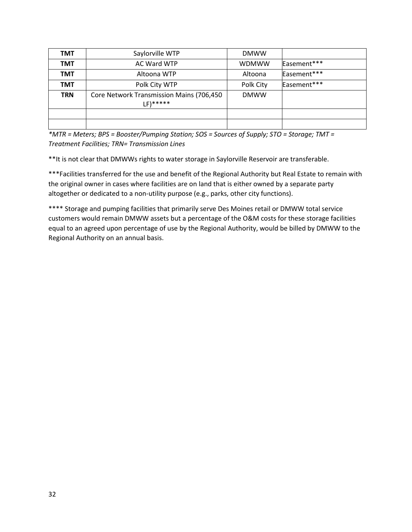| <b>TMT</b> | Saylorville WTP                                      | <b>DMWW</b>  |             |
|------------|------------------------------------------------------|--------------|-------------|
| <b>TMT</b> | AC Ward WTP                                          | <b>WDMWW</b> | Easement*** |
| <b>TMT</b> | Altoona WTP                                          | Altoona      | Easement*** |
| <b>TMT</b> | Polk City WTP                                        | Polk City    | Easement*** |
| <b>TRN</b> | Core Network Transmission Mains (706,450<br>LF)***** | <b>DMWW</b>  |             |
|            |                                                      |              |             |
|            |                                                      |              |             |

*\*MTR = Meters; BPS = Booster/Pumping Station; SOS = Sources of Supply; STO = Storage; TMT = Treatment Facilities; TRN= Transmission Lines*

\*\*It is not clear that DMWWs rights to water storage in Saylorville Reservoir are transferable.

\*\*\*Facilities transferred for the use and benefit of the Regional Authority but Real Estate to remain with the original owner in cases where facilities are on land that is either owned by a separate party altogether or dedicated to a non-utility purpose (e.g., parks, other city functions).

\*\*\*\* Storage and pumping facilities that primarily serve Des Moines retail or DMWW total service customers would remain DMWW assets but a percentage of the O&M costs for these storage facilities equal to an agreed upon percentage of use by the Regional Authority, would be billed by DMWW to the Regional Authority on an annual basis.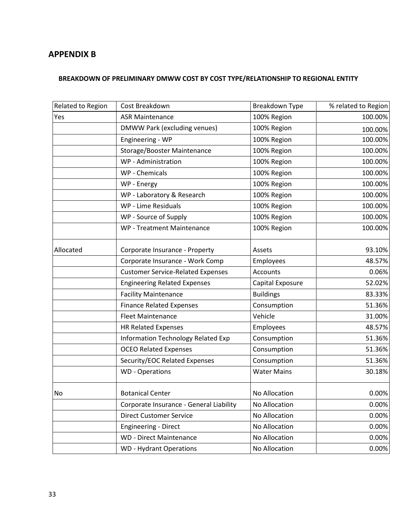# <span id="page-32-0"></span>**APPENDIX B**

## **BREAKDOWN OF PRELIMINARY DMWW COST BY COST TYPE/RELATIONSHIP TO REGIONAL ENTITY**

| Related to Region | Cost Breakdown                            | Breakdown Type     | % related to Region |
|-------------------|-------------------------------------------|--------------------|---------------------|
| Yes               | <b>ASR Maintenance</b>                    | 100% Region        | 100.00%             |
|                   | DMWW Park (excluding venues)              | 100% Region        | 100.00%             |
|                   | Engineering - WP                          | 100% Region        | 100.00%             |
|                   | Storage/Booster Maintenance               | 100% Region        | 100.00%             |
|                   | WP - Administration                       | 100% Region        | 100.00%             |
|                   | WP - Chemicals                            | 100% Region        | 100.00%             |
|                   | WP - Energy                               | 100% Region        | 100.00%             |
|                   | WP - Laboratory & Research                | 100% Region        | 100.00%             |
|                   | WP - Lime Residuals                       | 100% Region        | 100.00%             |
|                   | WP - Source of Supply                     | 100% Region        | 100.00%             |
|                   | WP - Treatment Maintenance                | 100% Region        | 100.00%             |
| Allocated         | Corporate Insurance - Property            | Assets             | 93.10%              |
|                   | Corporate Insurance - Work Comp           | Employees          | 48.57%              |
|                   | <b>Customer Service-Related Expenses</b>  | Accounts           | 0.06%               |
|                   | <b>Engineering Related Expenses</b>       | Capital Exposure   | 52.02%              |
|                   | <b>Facility Maintenance</b>               | <b>Buildings</b>   | 83.33%              |
|                   | <b>Finance Related Expenses</b>           | Consumption        | 51.36%              |
|                   | <b>Fleet Maintenance</b>                  | Vehicle            | 31.00%              |
|                   | <b>HR Related Expenses</b>                | Employees          | 48.57%              |
|                   | <b>Information Technology Related Exp</b> | Consumption        | 51.36%              |
|                   | <b>OCEO Related Expenses</b>              | Consumption        | 51.36%              |
|                   | Security/EOC Related Expenses             | Consumption        | 51.36%              |
|                   | <b>WD</b> - Operations                    | <b>Water Mains</b> | 30.18%              |
| No                | <b>Botanical Center</b>                   | No Allocation      | 0.00%               |
|                   | Corporate Insurance - General Liability   | No Allocation      | $0.00\%$            |
|                   | <b>Direct Customer Service</b>            | No Allocation      | 0.00%               |
|                   | <b>Engineering - Direct</b>               | No Allocation      | 0.00%               |
|                   | <b>WD</b> - Direct Maintenance            | No Allocation      | 0.00%               |
|                   | <b>WD</b> - Hydrant Operations            | No Allocation      | 0.00%               |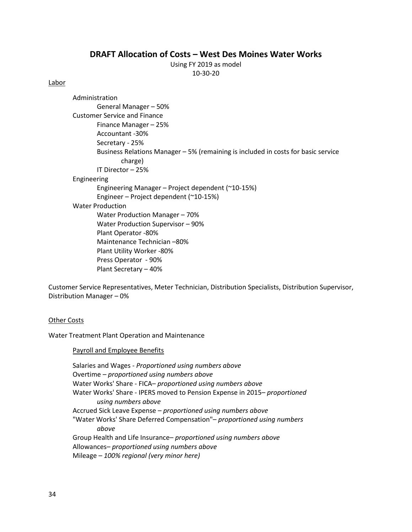## **DRAFT Allocation of Costs – West Des Moines Water Works**

Using FY 2019 as model 10-30-20

#### Labor

Administration General Manager – 50% Customer Service and Finance Finance Manager – 25% Accountant -30% Secretary - 25% Business Relations Manager – 5% (remaining is included in costs for basic service charge) IT Director – 25% Engineering Engineering Manager – Project dependent (~10-15%) Engineer – Project dependent (~10-15%) Water Production Water Production Manager – 70% Water Production Supervisor – 90% Plant Operator -80% Maintenance Technician –80% Plant Utility Worker -80% Press Operator - 90% Plant Secretary – 40%

Customer Service Representatives, Meter Technician, Distribution Specialists, Distribution Supervisor, Distribution Manager – 0%

#### Other Costs

Water Treatment Plant Operation and Maintenance

#### Payroll and Employee Benefits

Salaries and Wages - *Proportioned using numbers above* Overtime *– proportioned using numbers above* Water Works' Share - FICA*– proportioned using numbers above* Water Works' Share - IPERS moved to Pension Expense in 2015*– proportioned using numbers above* Accrued Sick Leave Expense *– proportioned using numbers above* "Water Works' Share Deferred Compensation"*– proportioned using numbers above* Group Health and Life Insurance*– proportioned using numbers above* Allowances*– proportioned using numbers above* Mileage *– 100% regional (very minor here)*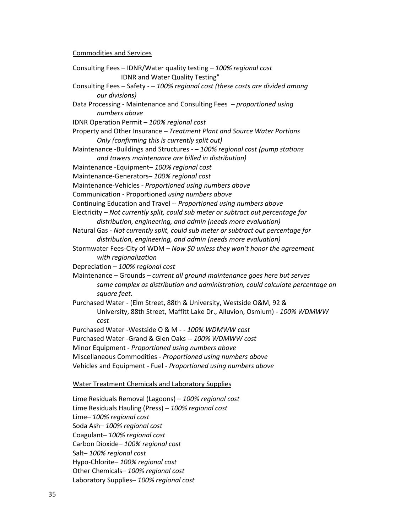#### Commodities and Services

Consulting Fees – IDNR/Water quality testing – *100% regional cost* IDNR and Water Quality Testing" Consulting Fees – Safety - – *100% regional cost (these costs are divided among our divisions)* Data Processing - Maintenance and Consulting Fees *– proportioned using numbers above* IDNR Operation Permit – *100% regional cost* Property and Other Insurance *– Treatment Plant and Source Water Portions Only (confirming this is currently split out)* Maintenance -Buildings and Structures - – *100% regional cost (pump stations and towers maintenance are billed in distribution)* Maintenance -Equipment– *100% regional cost* Maintenance-Generators– *100% regional cost* Maintenance-Vehicles - *Proportioned using numbers above* Communication - Proportioned *using numbers above* Continuing Education and Travel -- *Proportioned using numbers above* Electricity *– Not currently split, could sub meter or subtract out percentage for distribution, engineering, and admin (needs more evaluation)* Natural Gas - *Not currently split, could sub meter or subtract out percentage for distribution, engineering, and admin (needs more evaluation)* Stormwater Fees-City of WDM *– Now \$0 unless they won't honor the agreement with regionalization* Depreciation – *100% regional cost* Maintenance – Grounds *– current all ground maintenance goes here but serves same complex as distribution and administration, could calculate percentage on square feet.* Purchased Water - (Elm Street, 88th & University, Westside O&M, 92 & University, 88th Street, Maffitt Lake Dr., Alluvion, Osmium) *- 100% WDMWW cost* Purchased Water -Westside O & M - *- 100% WDMWW cost* Purchased Water -Grand & Glen Oaks -*- 100% WDMWW cost* Minor Equipment - *Proportioned using numbers above* Miscellaneous Commodities - *Proportioned using numbers above* Vehicles and Equipment - Fuel - *Proportioned using numbers above* Water Treatment Chemicals and Laboratory Supplies

Lime Residuals Removal (Lagoons) – *100% regional cost* Lime Residuals Hauling (Press) – *100% regional cost* Lime– *100% regional cost* Soda Ash– *100% regional cost* Coagulant– *100% regional cost* Carbon Dioxide– *100% regional cost* Salt– *100% regional cost* Hypo-Chlorite– *100% regional cost* Other Chemicals– *100% regional cost* Laboratory Supplies– *100% regional cost*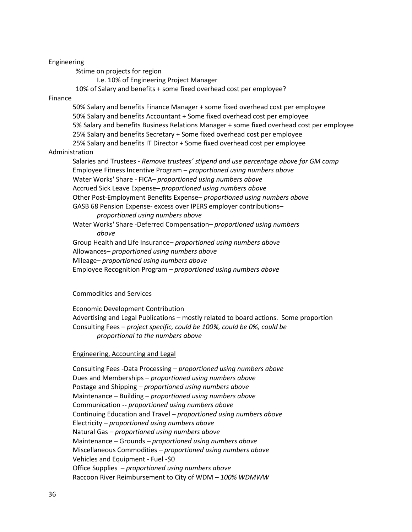#### Engineering

%time on projects for region

I.e. 10% of Engineering Project Manager

10% of Salary and benefits + some fixed overhead cost per employee?

#### Finance

50% Salary and benefits Finance Manager + some fixed overhead cost per employee 50% Salary and benefits Accountant + Some fixed overhead cost per employee 5% Salary and benefits Business Relations Manager + some fixed overhead cost per employee 25% Salary and benefits Secretary + Some fixed overhead cost per employee

25% Salary and benefits IT Director + Some fixed overhead cost per employee Administration

Salaries and Trustees *- Remove trustees' stipend and use percentage above for GM comp* Employee Fitness Incentive Program – *proportioned using numbers above* Water Works' Share - FICA*– proportioned using numbers above* Accrued Sick Leave Expense*– proportioned using numbers above* Other Post-Employment Benefits Expense*– proportioned using numbers above* GASB 68 Pension Expense- excess over IPERS employer contributions*– proportioned using numbers above* Water Works' Share -Deferred Compensation*– proportioned using numbers above* Group Health and Life Insurance*– proportioned using numbers above*

Allowances*– proportioned using numbers above*

Mileage*– proportioned using numbers above*

Employee Recognition Program *– proportioned using numbers above*

#### Commodities and Services

Economic Development Contribution Advertising and Legal Publications – mostly related to board actions. Some proportion Consulting Fees *– project specific, could be 100%, could be 0%, could be proportional to the numbers above*

#### Engineering, Accounting and Legal

Consulting Fees -Data Processing *– proportioned using numbers above* Dues and Memberships *– proportioned using numbers above* Postage and Shipping *– proportioned using numbers above* Maintenance – Building *– proportioned using numbers above* Communication -- *proportioned using numbers above* Continuing Education and Travel *– proportioned using numbers above* Electricity *– proportioned using numbers above* Natural Gas *– proportioned using numbers above* Maintenance – Grounds *– proportioned using numbers above* Miscellaneous Commodities *– proportioned using numbers above* Vehicles and Equipment - Fuel -\$0 Office Supplies *– proportioned using numbers above* Raccoon River Reimbursement to City of WDM *– 100% WDMWW*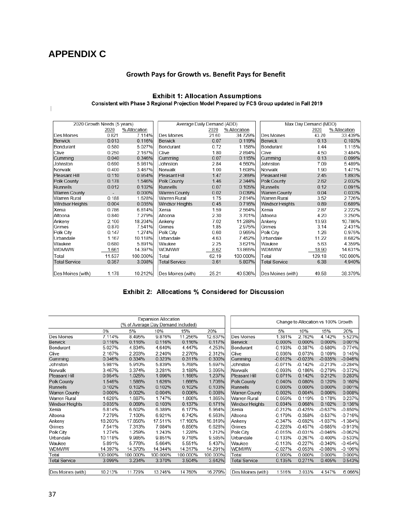# <span id="page-36-0"></span>**APPENDIX C**

 $\overline{\phantom{a}}$ 

## **Growth Pays for Growth vs. Benefit Pays for Benefit**

# Exhibit 1: Allocation Assumptions<br>Consistent with Phase 3 Regional Projection Model Prepared by FCS Group updated in Fall 2019

| 2020 Growth Needs (5 years) |        |              |                      | Average Daily Demand (ADD) |              | Max Day Demand (MDD) |        |              |  |
|-----------------------------|--------|--------------|----------------------|----------------------------|--------------|----------------------|--------|--------------|--|
|                             | 2020   | % Allocation |                      | 2020                       | % Allocation |                      | 2020   | % Allocation |  |
| Des Moines                  | 0.821  | 7.114%       | Des Moines           | 21.60                      | 34.729%      | Des Moines           | 43.20  | 33.439%      |  |
| Berwick                     | 0.013  | 0.116%       | Berwick              | 0.07                       | 0.119%       | <b>Berwick</b>       | 0.13   | 0.103%       |  |
| Bondurant                   | 0.580  | 5.027%       | Bondurant            | 0.72                       | 1.158%       | Bondurant            | 1.44   | 1.115%       |  |
| Clive                       | 0.250  | 2.167%       | Clive                | 1.80                       | 2.894%       | Clive                | 4.50   | 3.484%       |  |
| Cumming                     | 0.040  | 0.346%       | Cumming              | 0.07                       | 0.115%       | Cumming              | 0.13   | 0.099%       |  |
| Johnston                    | 0.690  | 5.981%       | Johnston             | 2.84                       | 4.560%       | Johnston             | 7.09   | 5.489%       |  |
| Norwalk                     | 0.400  | 3.467%       | Norwalk              | 1.00                       | 1.608%       | Norwalk              | 1.90   | 1.471%       |  |
| Pleasant Hill               | 0.110  | 0.954%       | Pleasant Hill        | 1.47                       | 2.369%       | Pleasant Hill        | 2.45   | 1.893%       |  |
| Polk County                 | 0.178  | 1.546%       | Polk County          | 1.46                       | 2.344%       | Polk County          | 2.62   | 2.032%       |  |
| Runnells                    | 0.012  | 0.102%       | Runnells             | 0.07                       | 0.105%       | Runnells             | 0.12   | 0.091%       |  |
| <b>Warren County</b>        |        | 0.000%       | <b>Warren County</b> | 0.02                       | 0.039%       | Warren County        | 0.04   | 0.033%       |  |
| Warren Rural                | 0.188  | 1.628%       | Warren Rural         | 1.75                       | 2.814%       | Warren Rural         | 3.52   | 2.726%       |  |
| Windsor Heights             | 0.004  | 0.035%       | Windsor Heights      | 0.45                       | 0.716%       | Windsor Heights      | 0.89   | 0.689%       |  |
| Xenia                       | 0.786  | 6.814%       | Xenia                | 1.59                       | 2.564%       | Xenia                | 2.87   | 2.222%       |  |
| Altoona                     | 0.840  | 7.279%       | <b>Altoona</b>       | 2.30                       | 3.701%       | Altoona              | 4.20   | 3.250%       |  |
| Ankeny                      | 2.100  | 18.204%      | Ankeny               | 7.02                       | 11.288%      | Ankeny               | 13.93  | 10.786%      |  |
| Grimes                      | 0.870  | 7.541%       | Grimes               | 1.85                       | 2.975%       | Grimes               | 3.14   | 2.431%       |  |
| Polk City                   | 0.147  | 1.274%       | Polk City            | 0.60                       | 0.965%       | Polk City            | 1.26   | 0.975%       |  |
| Urbandale                   | 1.167  | 10.118%      | Urbandale            | 4.63                       | 7.452%       | Urbandale            | 11.22  | 8.682%       |  |
| Waukee                      | 0.680  | 5.891%       | Waukee               | 2.25                       | 3.621%       | Waukee               | 5.63   | 4.359%       |  |
| <b>WDMWW</b>                | 1.661  | 14.397%      | <b>WDMWW</b>         | 8.62                       | 13.865%      | WDMWW                | 18.90  | 14.631%      |  |
| Total                       | 11.537 | 100.000%     | Total                | 62.19                      | 100.000%     | Total                | 129.18 | 100.000%     |  |
| <b>Total Service</b>        | 0.357  | 3.098%       | <b>Total Service</b> | 3.61                       | 5.807%       | <b>Total Service</b> | 6.38   | 4.940%       |  |
|                             |        |              |                      |                            |              |                      |        |              |  |
| Des Moines (with)           | 1.178  | 10.212%      | Des Moines (with)    | 25.21                      | 40.536%      | Des Moines (with)    | 49.58  | 38.379%      |  |

|                      |                                    |          | <b>Expansion Allocation</b> |          |          |                      |           |                                     |           |           |
|----------------------|------------------------------------|----------|-----------------------------|----------|----------|----------------------|-----------|-------------------------------------|-----------|-----------|
|                      | (% of Average Day Demand Included) |          |                             |          |          |                      |           | Change to Allocation vs 100% Growth |           |           |
|                      | 0%                                 | 5%       | 10%                         | 15%      | 20%      |                      | 5%        | 10%                                 | 15%       | 20%       |
| Des Moines           | 7.114%                             | 8.495%   | 9.876%                      | 11.256%  | 12.637%  | Des Moines           | 1.381%    | 2.762%                              | 4.142%    | 5.523%    |
| Berwick              | 0.116%                             | 0.116%   | 0.116%                      | 0.116%   | 0.117%   | <b>Berwick</b>       | 0.000%    | 0.000%                              | 0.000%    | 0.001%    |
| Bondurant            | 5.027%                             | 4.834%   | 4.640%                      | 4.447%   | 4.253%   | Bondurant            | $-0.193%$ | $-0.387%$                           | $-0.580%$ | $-0.774%$ |
| Clive                | 2.167%                             | 2.203%   | 2.240%                      | 2.276%   | 2.312%   | Clive                | 0.036%    | 0.073%                              | 0.109%    | 0.145%    |
| Cumming              | 0.346%                             | 0.334%   | 0.323%                      | 0.311%   | 0.300%   | Cumming              | $-0.012%$ | $-0.023%$                           | $-0.035%$ | $-0.046%$ |
| Johnston             | 5.981%                             | 5.910%   | 5.839%                      | 5.768%   | 5.697%   | Johnston             | $-0.071%$ | $-0.142%$                           | $-0.213%$ | $-0.284%$ |
| Norwalk              | 3.467%                             | 3.374%   | 3.281%                      | 3.188%   | 3.095%   | Norwalk              | $-0.093%$ | $-0.186%$                           | $-0.279%$ | $-0.372%$ |
| Pleasant Hill        | 0.954%                             | 1.025%   | 1.096%                      | 1.166%   | 1.237%   | Pleasant Hill        | 0.071%    | 0.142%                              | 0.212%    | 0.283%    |
| Polk County          | 1.546%                             | 1.586%   | 1.626%                      | 1.666%   | 1.706%   | Polk County          | 0.040%    | 0.080%                              | 0.120%    | 0.160%    |
| Runnells             | 0.102%                             | 0.102%   | 0.102%                      | 0.102%   | 0.103%   | Runnells             | 0.000%    | 0.000%                              | 0.000%    | 0.001%    |
| Warren County        | 0.000%                             | 0.002%   | 0.004%                      | 0.006%   | 0.008%   | <b>Warren County</b> | 0.002%    | 0.004%                              | 0.006%    | 0.008%    |
| Warren Rural         | 1.628%                             | 1.687%   | 1.747%                      | 1.806%   | 1.865%   | Warren Rural         | 0.059%    | 0.119%                              | 0.178%    | 0.237%    |
| Windsor Heights      | 0.035%                             | 0.069%   | 0.103%                      | 0.137%   | 0.171%   | Windsor Heights      | 0.034%    | 0.068%                              | 0.102%    | 0.136%    |
| Xenia                | 6.814%                             | 6.602%   | 6.389%                      | 6.177%   | 5.964%   | Xenia                | $-0.212%$ | $-0.425%$                           | $-0.637%$ | $-0.850%$ |
| Altoona              | 7.279%                             | 7.100%   | 6.921%                      | 6.742%   | 6.563%   | Altoona              | $-0.179%$ | $-0.358%$                           | $-0.537%$ | $-0.716%$ |
| Ankeny               | 18.203%                            | 17.856%  | 17.511%                     | 17.166%  | 16.819%  | Ankeny               | $-0.347%$ | $-0.692%$                           | $-1.037%$ | $-1.384%$ |
| Grimes               | 7.541%                             | 7.313%   | 7.084%                      | 6.856%   | 6.628%   | Grimes               | $-0.228%$ | $-0.457%$                           | $-0.685%$ | $-0.913%$ |
| Polk City            | 1.274%                             | 1.259%   | 1.243%                      | 1.228%   | 1.212%   | Polk City            | $-0.015%$ | $-0.031%$                           | $-0.046%$ | $-0.062%$ |
| Urbandale            | 10.118%                            | 9.985%   | 9.851%                      | 9.718%   | 9.585%   | Urbandale            | $-0.133%$ | $-0.267%$                           | $-0.400%$ | $-0.533%$ |
| Waukee               | 5.891%                             | 5.778%   | 5.664%                      | 5.551%   | 5.437%   | Waukee               | $-0.113%$ | $-0.227%$                           | $-0.340%$ | $-0.454%$ |
| WDMWW                | 14.397%                            | 14.370%  | 14.344%                     | 14.317%  | 14.291%  | <b>WDMWW</b>         | $-0.027%$ | $-0.053%$                           | $-0.080%$ | $-0.106%$ |
| Total                | 100.000%                           | 100.000% | 100.000%                    | 100.000% | 100.000% | Total                | 0.000%    | 0.000%                              | 0.000%    | 0.000%    |
| <b>Total Service</b> | 3.099%                             | 3.234%   | 3.370%                      | 3.504%   | 3.642%   | <b>Total Service</b> | 0.135%    | 0.271%                              | 0.405%    | 0.543%    |
|                      |                                    |          |                             |          |          |                      |           |                                     |           |           |
| Des Moines (with)    | 10.213%                            | 11.729%  | 13.246%                     | 14.760%  | 16.279%  | Des Moines (with)    | 1.516%    | 3.033%                              | 4.547%    | 6.066%    |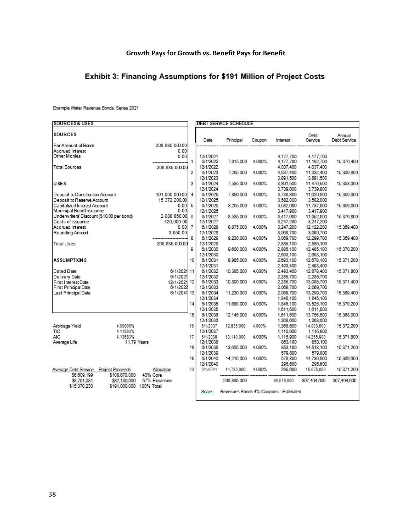# **Growth Pays for Growth vs. Benefit Pays for Benefit**

# Exhibit 3: Financing Assumptions for \$191 Million of Project Costs

Example Water Revenue Bonds, Series 2021

| <b>SOURCES&amp; USES</b>                           |               |                          |                |                       | <b>DEBT SERVICE SCHEDULE</b> |        |                                       |                         |                        |
|----------------------------------------------------|---------------|--------------------------|----------------|-----------------------|------------------------------|--------|---------------------------------------|-------------------------|------------------------|
| <b>SOURCES</b>                                     |               |                          |                | Date                  | Principal                    | Coupon | Interest                              | Debt<br>Service         | Annual<br>Debt Service |
| Par Amount of Bonds                                |               | 208.885.000.00           |                |                       |                              |        |                                       |                         |                        |
| Accrued Interest                                   |               | 0.00                     |                |                       |                              |        |                                       |                         |                        |
| Other Monies                                       |               | 0.00                     | 1              | 12/1/2021             |                              |        | 4.177.700                             | 4.177.700               |                        |
| <b>Total Sources</b>                               |               |                          |                | 6/1/2022<br>12/1/2022 | 7.015.000                    | 4.000% | 4,177,700<br>4.037.400                | 11,192,700<br>4.037.400 | 15,370,400             |
|                                                    |               | 208.885.000.00           | 2              | 6/1/2023              | 7.295.000                    | 4.000% | 4,037,400                             | 11,332,400              | 15,369,800             |
|                                                    |               |                          |                | 12/1/2023             |                              |        | 3,891,500                             | 3,891,500               |                        |
| USES                                               |               |                          | 3              | 6/1/2024              | 7,585,000                    | 4.000% | 3,891,500                             | 11,476,500              | 15.368.000             |
|                                                    |               |                          |                | 12/1/2024             |                              |        | 3,739,800                             | 3,739,800               |                        |
| Deposit to Construction Account                    |               | 191.000.000.00           | 4              | 6/1/2025              | 7,890,000                    | 4.000% | 3,739,800                             | 11,629,800              | 15,369,600             |
| Deposit to Reserve Account                         |               | 15,372,200.00            |                | 12/1/2025             |                              |        | 3,582,000                             | 3,582,000               |                        |
| Capitalized Interest Account                       |               | 0.001                    | 5              | 6/1/2026              | 8.205.000                    | 4.000% | 3,582,000                             | 11,787,000              | 15,369,000             |
| Municipal Bond Insurance                           |               | 0.00                     |                | 12/1/2026             |                              |        | 3.417,900                             | 3.417.900               |                        |
| Underwriters' Discount (\$10.00 per bond)          |               | 2.088.850.00             | 6              | 6/1/2027              | 8,535,000                    | 4.000% | 3.417.900                             | 11.952.900              | 15,370,800             |
| Costs of Issuance                                  |               | 420,000.00               |                | 12/1/2027             |                              |        | 3,247,200                             | 3,247,200               |                        |
| Accrued Interest                                   |               | 0.001                    | $\overline{7}$ | 6/1/2028              | 8,875,000                    | 4.000% | 3,247,200                             | 12,122,200              | 15,369,400             |
| Rounding Amount                                    |               | 3.950.00                 |                | 12/1/2028             |                              |        | 3,069,700                             | 3,069,700               |                        |
|                                                    |               |                          | 8              | 6/1/2029              | 9,230,000                    | 4.000% | 3,069,700                             | 12,299,700              | 15,369,400             |
| <b>Total Uses</b>                                  |               | 208.885.000.00           |                | 12/1/2029             |                              |        | 2.885.100                             | 2.885.100               |                        |
|                                                    |               |                          | g              | 6/1/2030              | 9,600,000                    | 4.000% | 2.885.100                             | 12.485.100              | 15,370,200             |
|                                                    |               |                          |                | 12/1/2030             |                              |        | 2,693,100                             | 2,693,100               |                        |
| <b>ASSUMPTIONS</b>                                 |               |                          | 10             | 6/1/2031              | 9,985,000                    | 4.000% | 2,693,100                             | 12,678,100              | 15,371,200             |
|                                                    |               |                          |                | 12/1/2031             |                              |        | 2.493,400                             | 2,493,400               |                        |
| Dated Date                                         |               | 6/1/2021 11              |                | 6/1/2032              | 10.385.000                   | 4.000% | 2,493,400                             | 12,878,400              | 15,371,800             |
| Delivery Date                                      |               | 6/1/2021                 |                | 12/1/2032             |                              |        | 2.285.700                             | 2.285.700               |                        |
| First Interest Date<br><b>First Principal Date</b> |               | 12/1/2021 12<br>6/1/2022 |                | 6/1/2033<br>12/1/2033 | 10,800,000                   | 4.000% | 2,285,700<br>2.069.700                | 13,085,700<br>2.069.700 | 15,371,400             |
| Last Principal Date                                |               | 6/1/2041 13              |                | 6/1/2034              | 11.230.000                   | 4.000% | 2,069,700                             | 13,299,700              | 15,369,400             |
|                                                    |               |                          |                | 12/1/2034             |                              |        | 1,845,100                             | 1,845,100               |                        |
|                                                    |               |                          | 14             | 6/1/2035              | 11,680,000                   | 4.000% | 1,845,100                             | 13,525,100              | 15,370,200             |
|                                                    |               |                          |                | 12/1/2035             |                              |        | 1,611,500                             | 1,611,500               |                        |
|                                                    |               |                          | 15             | 6/1/2036              | 12.145.000                   | 4.000% | 1,611,500                             | 13,756,500              | 15.368.000             |
|                                                    |               |                          |                | 12/1/2036             |                              |        | 1,368,600                             | 1,368,600               |                        |
| Arbitrage Yield                                    | 4.00000%      |                          | 16             | 6/1/2037              | 12.635.000                   | 4.000% | 1.368,600                             | 14.003.600              | 15,372,200             |
| ТIС                                                | 4.11293%      |                          |                | 12/1/2037             |                              |        | 1,115,900                             | 1.115.900               |                        |
| <b>AIC</b>                                         | 4.13583%      |                          | 17             | 6/1/2038              | 13.140.000                   | 4.000% | 1,115,900                             | 14.255,900              | 15,371,800             |
| Average Life                                       |               | 11.79 Years              |                | 12/1/2038             |                              |        | 853,100                               | 853,100                 |                        |
|                                                    |               |                          | 18             | 6/1/2039              | 13,665,000                   | 4.000% | 853,100                               | 14,518,100              | 15,371,200             |
|                                                    |               |                          |                | 12/1/2039             |                              |        | 579,800                               | 579,800                 |                        |
|                                                    |               |                          | 19             | 6/1/2040              | 14,210,000                   | 4.000% | 579,800                               | 14,789,800              | 15,369,600             |
|                                                    |               |                          |                | 12/1/2040             |                              |        | 295,600                               | 295.600                 |                        |
| Average Debt Service Project Proceeds              |               | Allocation               | 20             | 6/1/2041              | 14,780,000                   | 4.000% | 295,600                               | 15,075,600              | 15,371,200             |
| \$6,609,199                                        | \$108,870,000 | 43% Core                 |                |                       |                              |        |                                       |                         |                        |
| \$8,761,031                                        | \$82,130,000  | 57% Expansion            |                |                       | 208,885,000                  |        | 98.519.600                            | 307.404.600             | 307,404,600            |
| \$15,370,230                                       | \$191,000,000 | 100% Total               |                | Scale:                |                              |        |                                       |                         |                        |
|                                                    |               |                          |                |                       |                              |        | Revenues Bonds 4% Coupons - Estimated |                         |                        |
|                                                    |               |                          |                |                       |                              |        |                                       |                         |                        |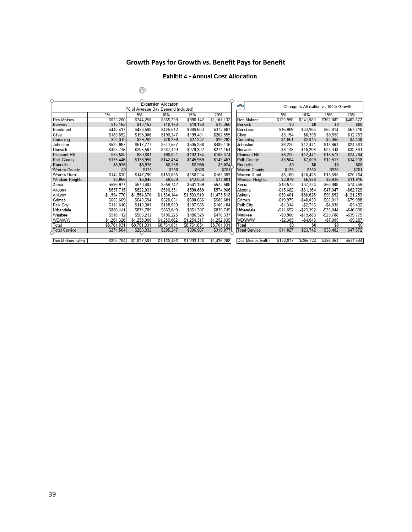## **Growth Pays for Growth vs. Benefit Pays for Benefit**

#### **Exhibit 4 - Annual Cost Allocation**

| <b>Expansion Allocation</b>        |             |             |             |             |             | $\overline{\phantom{a}}$ |             |              |                                     |              |
|------------------------------------|-------------|-------------|-------------|-------------|-------------|--------------------------|-------------|--------------|-------------------------------------|--------------|
| (% of Average Day Demand Included) |             |             |             |             |             |                          |             |              | Change to Allocation vs 100% Growth |              |
|                                    | 0%          | 5%          | 10%         | 15%         | 20%         |                          | 5%          | 10%          | 15%                                 | 20%          |
| Des Moines                         | \$623.260   | \$744.250   | \$865.239   | \$986.142   | \$1,107,132 | Des Moines               | \$120,990   | \$241.980    | \$362.882                           | \$483,872    |
| <b>Berwick</b>                     | \$10,163    | \$10,163    | \$10,163    | \$10,163    | \$10,250    | Berwick                  | \$0         | \$0          | \$0                                 | \$88         |
| <b>Bondurant</b>                   | \$440.417   | \$423,508   | \$406,512   | \$389,603   | \$372,607   | Bondurant                | $-$16.909$  | $-$33.905$   | $-550.814$                          | $-567.810$   |
| Clive                              | \$189.852   | \$193.006   | \$196,247   | \$199.401   | \$202,555   | Clive                    | \$3.154     | \$6.396      | \$9.550                             | \$12,703     |
| Cumming                            | \$30,313    | \$29,262    | \$28,298    | \$27,247    | \$26,283    | Cumming                  | $-$1,051$   | $-$2.015$    | $-$3,066$                           | $-$4.030$    |
| Johnston                           | \$523,997   | \$517,777   | \$511,557   | \$505,336   | \$499,116   | Johnston                 | $-$6.220$   | $-$12.441$   | $-$18,661$                          | $-524,881$   |
| Norwalk                            | \$303.745   | \$295,597   | \$287,449   | \$279,302   | \$271,154   | Norwalk                  | $-$8.148$   | $-$16.296$   | $-524.443$                          | $- $32.591$  |
| <b>Pleasant Hill</b>               | \$83,580    | \$89,801    | \$96,021    | \$102,154   | \$108,374   | Pleasant Hill            | \$6,220     | \$12,441     | \$18,573                            | \$24,794     |
| Polk County                        | \$135,446   | \$138,950   | \$142,454   | \$145,959   | \$149,463   | Polk County              | \$3,504     | \$7,009      | \$10,513                            | \$14,018     |
| <b>IRunnells</b>                   | \$8,936     | \$8,936     | \$8,936     | \$8,936     | \$9,024     | Runnells                 | \$0         | \$0          | \$0                                 | \$88         |
| Warren County                      | \$0         | \$175       | \$350       | \$526       | \$701       | Warren County            | \$175       | \$350        | \$526                               | \$701        |
| <b>Warren Rural</b>                | \$142,630   | \$147,799   | \$153,055   | \$158,224   | \$163,393   | Warren Rural             | \$5.169     | \$10.426     | \$15,595                            | \$20,764     |
| <b>Windsor Heights</b>             | \$3,066     | \$6,045     | \$9,024     | \$12,003    | \$14,981    | Windsor Heights          | \$2,979     | \$5,958      | \$8,936                             | \$11,915     |
| Xenia                              | \$596.977   | \$578.403   | \$559,742   | \$541,169   | \$522,508   | Xenia                    | $-$18,573$  | $-$37.234$   | $-$55,808$                          | $-574,469$   |
| Altoona                            | \$637,715   | \$622,033   | \$606,351   | \$590.669   | \$574,986   | Altoona                  | $-$15,682$  | $-531.364$   | $-$47.047$                          | $-$ \$62,729 |
| Ankeny                             | \$1,594,770 | \$1,564,370 | \$1,534,144 | \$1,503,919 | \$1,473,518 | Ankenv                   | $-$30,401$  | -\$60,626    | -\$90,852                           | $-$121,253$  |
| Grimes                             | \$660.669   | \$640.694   | \$620,631   | \$600,656   | \$580.681   | Grimes                   | $-$19.975$  | $-$40.038$   | $-$60,013$                          | $-579.988$   |
| Polk City                          | \$111,616   | \$110.301   | \$108,900   | \$107.585   | \$106.184   | Polk City                | $-$1,314$   | $-$2,716$    | $-$4,030$                           | $-55,432$    |
| Urbandale                          | \$886.441   | \$874,789   | \$863,049   | \$851,397   | \$839,745   | Urbandale                | $-$11,652$  | $-$ \$23.392 | $-$35,044$                          | $-546,696$   |
| Waukee                             | \$516.112   | \$506.212   | \$496.225   | \$486.325   | \$476.337   | Waukee                   | $-$9.900$   | $-$19.888$   | $-$29,788$                          | $-539,775$   |
| <b>WDMWW</b>                       | \$1,261,326 | \$1,258,960 | \$1,256,682 | \$1,254,317 | \$1,252,039 | <b>WDMWW</b>             | $-$ \$2,365 | $-$4,643$    | $-$7,009$                           | $-$ \$9,287  |
| Total                              | \$8.761.031 | \$8,761,031 | \$8,761,031 | \$8.761.031 | \$8,761,031 | Total                    | \$0         | \$0          | \$0                                 | \$0          |
| Total Service                      | \$271.504   | \$283,332   | \$295.247   | \$306.987   | \$319,077   | <b>Total Service</b>     | \$11.827    | \$23.742     | \$35,482                            | \$47,572     |
|                                    |             |             |             |             |             |                          |             |              |                                     |              |
| Des Moines (with)                  | \$894.764   | \$1,027,581 | \$1,160,486 | \$1,293,128 | \$1,426,208 | Des Moines (with)        | \$132.817   | \$265.722    | \$398.364                           | \$531.444    |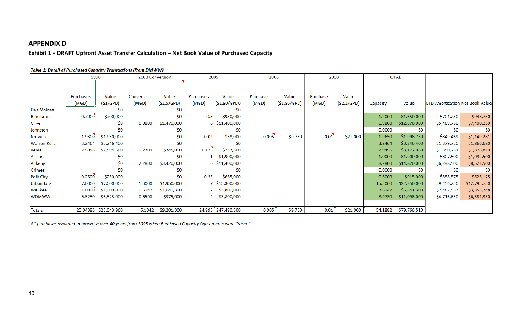## **APPENDIX D**

## **Exhibit 1 - DRAFT Upfront Asset Transfer Calculation – Net Book Value of Purchased Capacity**

<span id="page-39-0"></span>

|                     | 1996      |                       | 2003 Conversion |             | 2005         |                     | 2006     |              | 2008     |            | <b>TOTAL</b> |              |                                        |              |
|---------------------|-----------|-----------------------|-----------------|-------------|--------------|---------------------|----------|--------------|----------|------------|--------------|--------------|----------------------------------------|--------------|
|                     |           |                       |                 |             |              |                     |          |              |          |            |              |              |                                        |              |
|                     |           |                       |                 |             |              |                     |          |              |          |            |              |              |                                        |              |
|                     | Purchases | Value                 | Conversion      | Value       | Purchases    | Value               | Purchase | Value        | Purchase | Value      |              |              |                                        |              |
|                     | (MGD)     | (S1/GPD)              | (MGD)           | (S1.5/GPD)  | (MGD)        | (\$1.90/GPD0        | (MGD)    | (\$1.95/GPD) | (MGD)    | (S2.1/GPD) | Capacity     | Value        | <b>LTD Amortization Net Book Value</b> |              |
| <b>Des Moines</b>   |           | \$0                   |                 | \$0         |              | \$0                 |          |              |          |            |              |              |                                        |              |
| Bondurant           | 0.7000    | \$700,000             |                 | \$0         | 0.5          | \$950,000           |          |              |          |            | 1.2000       | \$1,650,000  | \$701,250                              | \$948,750    |
| Clive               |           | \$0                   | 0.9800          | \$1,470,000 |              | 6 \$11,400,000      |          |              |          |            | 6.9800       | \$12,870,000 | \$5,469,750                            | \$7,400,250  |
| Johnston            |           | \$0                   |                 | \$0         |              | \$0                 |          |              |          |            | 0.0000       | \$0          | \$0                                    | \$0          |
| Norwalk             | 1.9300    | \$1,930,000           |                 | \$0         | 0.02         | \$38,000            | 0.005    | \$9,750      | 0.01     | \$21,000   | 1.9650       | \$1,998,750  | \$849,469                              | \$1,149,281  |
| <b>Warren Rural</b> | 3.2464    | \$3,246,400           |                 | \$0         |              | \$0                 |          |              |          |            | 3.2464       | \$3,246,400  | \$1,379,720                            | \$1,866,680  |
| Xenia               | 2.5946    | \$2,594,560           | 0.2300          | \$345,000   | 0.125        | \$237,500           |          |              |          |            | 2.9496       | \$3,177,060  | \$1,350,251                            | \$1,826,810  |
| Altoona             |           | \$0                   |                 | \$0         |              | \$1,900,000         |          |              |          |            | 1.0000       | \$1,900,000  | \$807,500                              | \$1,092,500  |
| Ankeny              |           | \$0                   | 2.2800          | \$3,420,000 |              | 6 \$11,400,000      |          |              |          |            | 8.2800       | \$14,820,000 | \$6,298,500                            | \$8,521,500  |
| Grimes              |           | \$0                   |                 | \$0         |              | S0                  |          |              |          |            | 0.0000       | S0           | \$0                                    | \$0          |
| Polk City           | 0.2500    | \$250,000             |                 | \$0         | 0.35         | \$665,000           |          |              |          |            | 0.6000       | \$915,000    | \$388,875                              | \$526,125    |
| Urbandale           | 7.0000    | \$7,000,000           | 1.3000          | \$1,950,000 |              | 7 \$13,300,000      |          |              |          |            | 15.3000      | \$22,250,000 | \$9,456,250                            | \$12,793,750 |
| Waukee              | 1.0000    | \$1,000,000           | 0.6942          | \$1,041,300 | $2^{\circ}$  | \$3,800,000         |          |              |          |            | 3.6942       | \$5,841,300  | \$2,482,553                            | \$3,358,748  |
| <b>WDMWW</b>        | 6.3230    | \$6,323,000           | 0.6500          | \$975,000   | $\mathbf{2}$ | \$3,800,000         |          |              |          |            | 8.9730       | \$11,098,000 | \$4,716,650                            | \$6,381,350  |
|                     |           |                       |                 |             |              |                     |          |              |          |            |              |              |                                        |              |
| Totals              |           | 23.04396 \$23,043,960 | 6.1342          | \$9,201,300 |              | 24.995 \$47,490,500 | 0.005    | \$9,750      | 0.01     | \$21,000   | 54.1882      | \$79,766,510 |                                        |              |

#### Table 1: Detail of Purchased Capacity Transactions (from DMWW)

All purchases assumed to amortize over 40 years from 2005 when Purchased Capacity Agreements were "reset."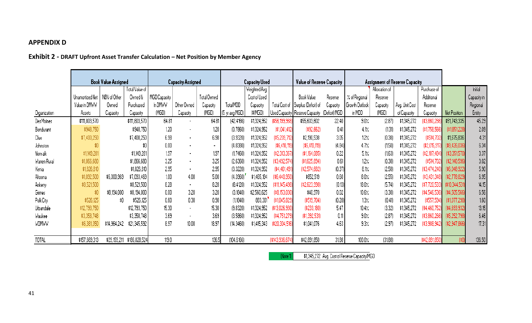# **APPENDIX D**

# **Exhibit 2 - DRAFT Upfront Asset Transfer Calculation – Net Position by Member Agency**

|              | <b>Book Value Assigned</b> |              | <b>Capacity Assigned</b> |              |                | <b>Capacity Used</b> |                |               | Value of Reserve Capacity |                                        | <b>Assignment of Reserve Capacity</b> |                |               |                |               |                |               |
|--------------|----------------------------|--------------|--------------------------|--------------|----------------|----------------------|----------------|---------------|---------------------------|----------------------------------------|---------------------------------------|----------------|---------------|----------------|---------------|----------------|---------------|
|              |                            |              | Total Value of           |              |                |                      |                | Weighted Avg. |                           |                                        |                                       |                | Allocation of |                | Purchase of   |                | Initial       |
|              | Unamortized Net            | NBV of Other | Owned &                  | MGD Capacity |                | Total Owned          |                | Cost of Used  |                           | Book Value                             | Reserve                               | % of Regional  | Reserve       |                | Additional    |                | Capacity in   |
|              | Value in DMWw              | Owned        | Purchased                | In DMWV      | Other Owned    | Capacity             | Total MDD      | Capacity      |                           | Total Cost of \$  Surplus (Deficit) of | Capacity                              | Growth Outlook | Capacity      | Avg. Unit Cost | Reserve       |                | Regional      |
| Organization | Assets                     | Capacity     | Capacity                 | (MGD)        | Capacity       | (MGD)                | (5 yr avg MGD) | (\$/MGD)      |                           | Used Capacity   Reserve Capacity       | (Deficit) MGD                         | in MDD         | (MGD)         | of Capacity    | Capacity      | Net Position   | <b>Entity</b> |
| Des Moines   | \$111,803,570              |              | \$111,803,570            | 64.81        |                | 64.81                | (42.4166)      | \$1,324,952   | (\$56,199,968             | \$55,603,602                           | 22.40                                 | 3.0%           | (2.87)        | \$1,345,272    | \$3,860,266   | \$51,743,335   | 45.29         |
| Bondurant    | \$948,750                  |              | \$948,750                | 120          |                | 1.20                 | (0.7860)       | \$1,324,952   | (\$1,041,412)             | $(*92,662)$                            | 0.41                                  | 4.1%           | (1.31)        | \$1,345,272    | (\$1,758,566  | (\$1,851,228)  | 2.09          |
| Clive        | \$7,400,250                |              | \$7,400,250              | 6.98         |                | 6.98                 | (3.9320)       | \$1,324,952   | \$5,209,712)              | \$2,190,538                            | 3.05                                  | 12/            | (0.38)        | \$1,345,272    | (\$514,702    | \$1,675,836    | 4.31          |
| Johnston     | \$0.                       |              | \$0                      | 0.00         |                | $\sim$               | (4.8380)       | \$1,324,952   | $(*6,410,119)$            | (\$6,410,119)                          | (4.84)                                | 4.7%           | (1.50)        | \$1,345,272    | (\$2,015,91)  | (\$8,426,036)  | 6.34          |
| Norwalk      | \$1,149,281                |              | \$1,149,281              | 1.97         |                | 1.97                 | (1.7460)       | \$1,324,952   | \$2,313,367)              | (\$1,164,085)                          | 0.22                                  | 5.1%           | (1.63)        | \$1,345,272    | (\$2,187,484  | (\$3,351,570   | 3.37          |
| Warren Rural | \$1,866,680                |              | \$1,866,680              | 3.25         |                | 3.25                 | (2.6360)       | \$1,324,952   | (\$3,492,574)             | (\$1,625,894)                          | 0.61                                  | 12/            | (0.38)        | \$1,345,272    | (\$514, 702)  | (% 2,140,596)  | 3.02          |
| Xenia        | \$1,826,810                |              | \$1,826,810              | 2.95         |                | 2.95                 | (3.3220)       | \$1,324,952   | (\$4,401,491              | (\$2,574,682)                          | (0.37)                                | 8.1%           | (2.58)        | \$1,345,272    | (\$3,474,240  | (\$6,048,922   | 5.90          |
| Altoona      | \$1,092,500                | \$6,000,969  | \$7,093,469              | 1.00         | 4.00           | 5.00                 | (4.3960)       | \$1,465,184   | \$6,440,950)              | \$652,519                              | 0.60                                  | 8.0%           | (2.55)        | \$1,345,272    | (\$3,431,348) | (\$2,778,829)  | 6.95          |
| Ankeny       | \$8,521,500                |              | \$8,521,500              | 8.28         | $\blacksquare$ | 8.28                 | (8.4120)       | \$1,324,952   | (\$11,145,498)            | $(*2,623,998)$                         | (0.13)                                | 18.0%          | (5.74)        | \$1,345,272    | (\$7,720,533  | (\$10,344,531  | 14.15         |
| Grimes       | \$0                        | \$8,194,000  | \$8,194,000              | 0.00         | 3.20           | 3.20                 | (3.1840)       | \$2,560,625   | \$8,153,030               | \$40,970                               | 0.02                                  | 10.6%          | (3.38)        | \$1,345,272    | (\$4,546,536  | $(*4,505,566)$ | 6.56          |
| Polk City    | \$526,125                  | \$0          | \$526,125                | 0.60         | 0.30           | 0.90                 | (1.1840)       | 883,301       | \$1,045,829               | $(*519,704)$                           | (0.28)                                | 13/            | (0.41)        | \$1,345,272    | (\$557,594    | (\$1,077,298)  | 1.60          |
| Urbandale    | \$12,793,750               |              | \$12,793,750             | 15.30        | $\blacksquare$ | 15.30                | (9.8320)       | \$1,324,952   | (\$13,026,930             | $(*233,180)$                           | 5.47                                  | 10.4%          | (3.32)        | \$1,345,272    | (\$4,460,752  | $(*4,693,932)$ | 13.15         |
| Waukee       | \$3,358,748                |              | \$3,358,748              | 3.69         |                | 3.69                 | (3.5860)       | \$1,324,952   | \$4,751,279               | (\$1,392,531)                          | 0.11                                  | 3.0%           | (2.87)        | \$1,345,272    | (\$3,860,266  | (\$5,252,798   | 6.46          |
| <b>VDMWV</b> | \$6,381                    | \$14,964,242 | \$21,345,592             | 8.97         | 10.00          | 18.97                | (14.3460)      | \$1,415,343   | (\$20,304,516)            | \$1,041,076                            | 4.63                                  | 3.3%           | (2.97)        | \$1,345,272    | (\$3,988,94)  | (\$2,947,866)  | 17.31         |
|              |                            |              |                          |              |                |                      |                |               |                           |                                        |                                       |                |               |                |               |                |               |
| TOTAL        | \$157,669,313              | \$29,159,211 | \$186,828,524            | 119.0        |                | 136.5                | (104.6166)     |               | (\$143,936,674            | \$42,891,850                           | 31.88                                 | 100.0%         | (31.88)       |                | (\$42,891,850 | \$í            | 136.50        |

 $$1,345,272$  Avg. Cost of Reserve Capacity/MGD (Note 1)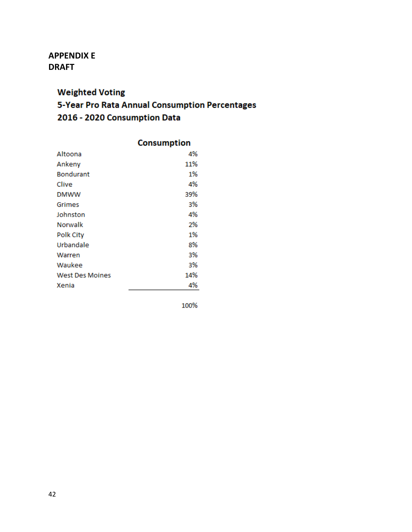# <span id="page-41-0"></span>**APPENDIX E DRAFT**

# **Weighted Voting** 5-Year Pro Rata Annual Consumption Percentages 2016 - 2020 Consumption Data

|                        | <b>Consumption</b> |
|------------------------|--------------------|
| Altoona                | 4%                 |
| Ankeny                 | 11%                |
| <b>Bondurant</b>       | 1%                 |
| Clive                  | 4%                 |
| <b>DMWW</b>            | 39%                |
| Grimes                 | 3%                 |
| Johnston               | 4%                 |
| Norwalk                | 2%                 |
| Polk City              | 1%                 |
| Urbandale              | 8%                 |
| Warren                 | 3%                 |
| Waukee                 | 3%                 |
| <b>West Des Moines</b> | 14%                |
| Xenia                  | 4%                 |

100%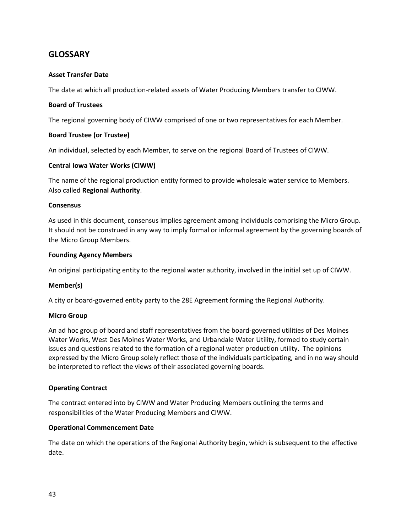## <span id="page-42-0"></span>**GLOSSARY**

## **Asset Transfer Date**

The date at which all production-related assets of Water Producing Members transfer to CIWW.

## **Board of Trustees**

The regional governing body of CIWW comprised of one or two representatives for each Member.

## **Board Trustee (or Trustee)**

An individual, selected by each Member, to serve on the regional Board of Trustees of CIWW.

## **Central Iowa Water Works (CIWW)**

The name of the regional production entity formed to provide wholesale water service to Members. Also called **Regional Authority**.

## **Consensus**

As used in this document, consensus implies agreement among individuals comprising the Micro Group. It should not be construed in any way to imply formal or informal agreement by the governing boards of the Micro Group Members.

## **Founding Agency Members**

An original participating entity to the regional water authority, involved in the initial set up of CIWW.

## **Member(s)**

A city or board-governed entity party to the 28E Agreement forming the Regional Authority.

## **Micro Group**

An ad hoc group of board and staff representatives from the board-governed utilities of Des Moines Water Works, West Des Moines Water Works, and Urbandale Water Utility, formed to study certain issues and questions related to the formation of a regional water production utility. The opinions expressed by the Micro Group solely reflect those of the individuals participating, and in no way should be interpreted to reflect the views of their associated governing boards.

## **Operating Contract**

The contract entered into by CIWW and Water Producing Members outlining the terms and responsibilities of the Water Producing Members and CIWW.

## **Operational Commencement Date**

The date on which the operations of the Regional Authority begin, which is subsequent to the effective date.